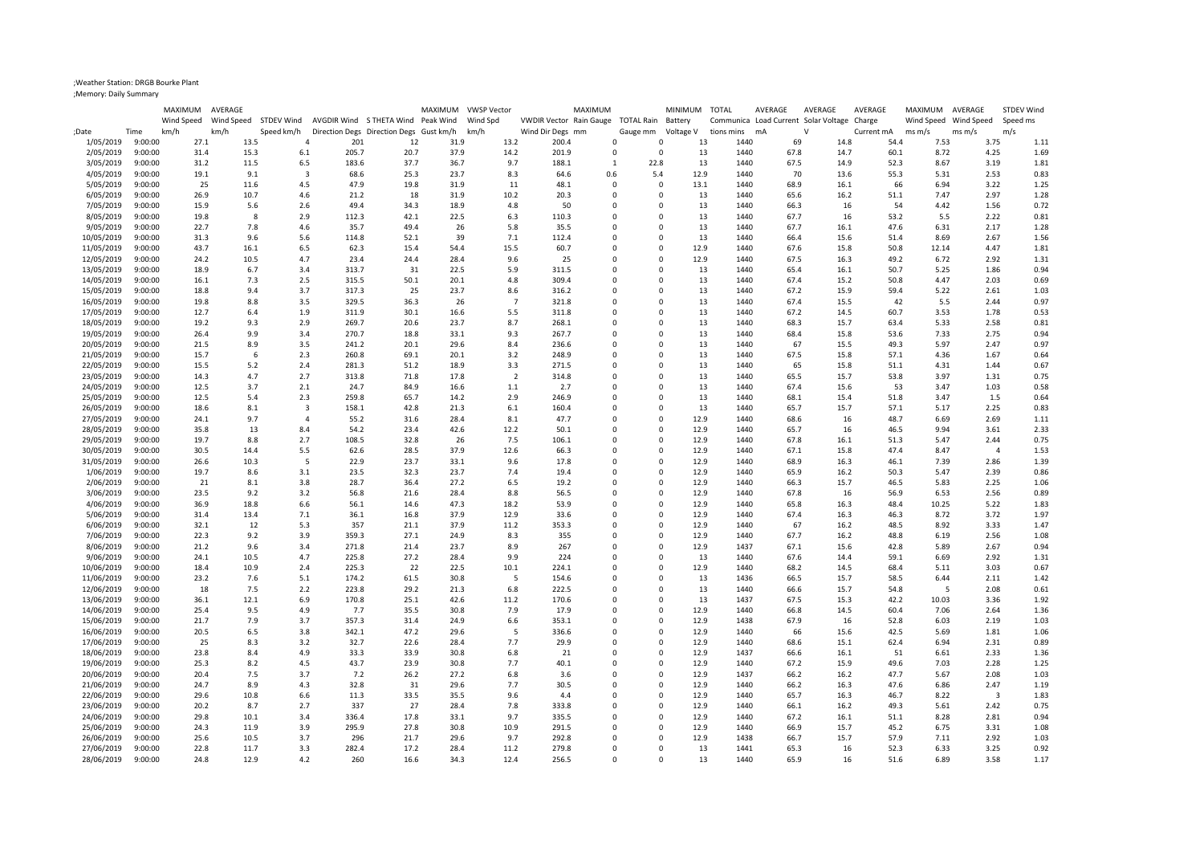## ;Weather Station: DRGB Bourke Plant

;Memory: Daily Summary

|                          |                    | MAXIMUM      | AVERAGE      |                         |                                                         |              | MAXIMUM      | VWSP Vector    |                                            | MAXIMUM |                                   | MINIMUM TOTAL                           |              | AVERAGE      | AVERAGE                                     | AVERAGE      | MAXIMUM AVERAGE |                       | <b>STDEV Wind</b> |
|--------------------------|--------------------|--------------|--------------|-------------------------|---------------------------------------------------------|--------------|--------------|----------------|--------------------------------------------|---------|-----------------------------------|-----------------------------------------|--------------|--------------|---------------------------------------------|--------------|-----------------|-----------------------|-------------------|
|                          |                    | Wind Speed   |              |                         | Wind Speed STDEV Wind AVGDIR Wind STHETA Wind Peak Wind |              |              | Wind Spd       | VWDIR Vector Rain Gauge TOTAL Rain Battery |         |                                   |                                         |              |              | Communica Load Current Solar Voltage Charge |              |                 | Wind Speed Wind Speed | Speed ms          |
| ;Date                    | Time               | km/h         | km/h         | Speed km/h              | Direction Degs Direction Degs Gust km/h                 |              |              | km/h           | Wind Dir Degs mm                           |         | Gauge mm                          | Voltage V                               | tions mins   | mA           | $\vee$                                      | Current mA   | $ms \, m/s$     | $ms \, m/s$           | m/s               |
| 1/05/2019                | 9:00:00            | 27.1         | 13.5         | $\overline{4}$          | 201                                                     | 12           | 31.9         | 13.2           | 200.4                                      |         | $\Omega$<br>$\Omega$              | 13                                      | 1440         | 69           | 14.8                                        | 54.4         | 7.53            | 3.75                  | 1.11              |
| 2/05/2019                | 9:00:00            | 31.4         | 15.3         | 6.1                     | 205.7                                                   | 20.7         | 37.9         | 14.2           | 201.9                                      |         | 0                                 | 13<br>$\mathbf 0$                       | 1440         | 67.8         | 14.7                                        | 60.1         | 8.72            | 4.25                  | 1.69              |
| 3/05/2019                | 9:00:00            | 31.2         | 11.5         | 6.5                     | 183.6                                                   | 37.7         | 36.7         | 9.7            | 188.1                                      |         | 22.8<br>1                         | 13                                      | 1440         | 67.5         | 14.9                                        | 52.3         | 8.67            | 3.19                  | 1.81              |
| 4/05/2019                | 9:00:00            | 19.1         | 9.1          | $\overline{\mathbf{3}}$ | 68.6                                                    | 25.3         | 23.7         | 8.3            | 64.6                                       | 0.6     | 5.4                               | 12.9                                    | 1440         | 70           | 13.6                                        | 55.3         | 5.31            | 2.53                  | 0.83              |
| 5/05/2019<br>6/05/2019   | 9:00:00<br>9:00:00 | 25<br>26.9   | 11.6<br>10.7 | 4.5<br>4.6              | 47.9<br>21.2                                            | 19.8<br>18   | 31.9<br>31.9 | 11<br>10.2     | 48.1<br>20.3                               |         | 0<br>0<br>$\mathbf 0$<br>$\Omega$ | 13.1<br>13                              | 1440<br>1440 | 68.9<br>65.6 | 16.1<br>16.2                                | 66<br>51.1   | 6.94<br>7.47    | 3.22<br>2.97          | 1.25<br>1.28      |
| 7/05/2019                | 9:00:00            | 15.9         | 5.6          | 2.6                     | 49.4                                                    | 34.3         | 18.9         | 4.8            | 50                                         |         | $\Omega$                          | $\Omega$<br>13                          | 1440         | 66.3         | 16                                          | 54           | 4.42            | 1.56                  | 0.72              |
| 8/05/2019                | 9:00:00            | 19.8         | 8            | 2.9                     | 112.3                                                   | 42.1         | 22.5         | 6.3            | 110.3                                      |         | $\Omega$                          | $\Omega$<br>13                          | 1440         | 67.7         | 16                                          | 53.2         | 5.5             | 2.22                  | 0.81              |
| 9/05/2019                | 9:00:00            | 22.7         | 7.8          | 4.6                     | 35.7                                                    | 49.4         | 26           | 5.8            | 35.5                                       |         | 0                                 | 13<br>$\mathbf 0$                       | 1440         | 67.7         | 16.1                                        | 47.6         | 6.31            | 2.17                  | 1.28              |
| 10/05/2019               | 9:00:00            | 31.3         | 9.6          | 5.6                     | 114.8                                                   | 52.1         | 39           | 7.1            | 112.4                                      |         | $\Omega$                          | $\mathbf 0$<br>13                       | 1440         | 66.4         | 15.6                                        | 51.4         | 8.69            | 2.67                  | 1.56              |
| 11/05/2019               | 9:00:00            | 43.7         | 16.1         | 6.5                     | 62.3                                                    | 15.4         | 54.4         | 15.5           | 60.7                                       |         | $\Omega$                          | $\Omega$<br>12.9                        | 1440         | 67.6         | 15.8                                        | 50.8         | 12.14           | 4.47                  | 1.81              |
| 12/05/2019               | 9:00:00            | 24.2         | 10.5         | 4.7                     | 23.4                                                    | 24.4         | 28.4         | 9.6            | 25                                         |         | 0                                 | 12.9<br>0                               | 1440         | 67.5         | 16.3                                        | 49.2         | 6.72            | 2.92                  | 1.31              |
| 13/05/2019               | 9:00:00            | 18.9         | 6.7          | 3.4                     | 313.7                                                   | 31           | 22.5         | 5.9            | 311.5                                      |         | $\Omega$                          | $\Omega$<br>13                          | 1440         | 65.4         | 16.1                                        | 50.7         | 5.25            | 1.86                  | 0.94              |
| 14/05/2019               | 9:00:00            | 16.1         | 7.3          | 2.5                     | 315.5                                                   | 50.1         | 20.1         | 4.8            | 309.4                                      |         | $\Omega$                          | $\Omega$<br>13                          | 1440         | 67.4         | 15.2                                        | 50.8         | 4.47            | 2.03                  | 0.69              |
| 15/05/2019               | 9:00:00            | 18.8         | 9.4          | 3.7                     | 317.3                                                   | 25           | 23.7         | 8.6            | 316.2                                      |         | $\Omega$                          | $\Omega$<br>13                          | 1440         | 67.2         | 15.9                                        | 59.4         | 5.22            | 2.61                  | 1.03              |
| 16/05/2019               | 9:00:00            | 19.8         | 8.8          | 3.5                     | 329.5                                                   | 36.3         | 26           | $\overline{7}$ | 321.8                                      |         | 0                                 | 13<br>0                                 | 1440         | 67.4         | 15.5                                        | 42           | 5.5             | 2.44                  | 0.97              |
| 17/05/2019               | 9:00:00            | 12.7         | 6.4          | 1.9                     | 311.9                                                   | 30.1         | 16.6         | 5.5            | 311.8                                      |         | $\Omega$                          | $\Omega$<br>13                          | 1440         | 67.2         | 14.5                                        | 60.7         | 3.53            | 1.78                  | 0.53              |
| 18/05/2019               | 9:00:00            | 19.2         | 9.3          | 2.9                     | 269.7                                                   | 20.6         | 23.7         | 8.7            | 268.1                                      |         | 0                                 | 13<br>$\mathbf 0$                       | 1440         | 68.3         | 15.7                                        | 63.4         | 5.33            | 2.58                  | 0.81              |
| 19/05/2019               | 9:00:00            | 26.4         | 9.9          | 3.4                     | 270.7                                                   | 18.8         | 33.1         | 9.3            | 267.7                                      |         | 0                                 | 13<br>0                                 | 1440         | 68.4         | 15.8                                        | 53.6         | 7.33            | 2.75                  | 0.94              |
| 20/05/2019               | 9:00:00            | 21.5         | 8.9          | 3.5                     | 241.2                                                   | 20.1         | 29.6         | 8.4            | 236.6                                      |         | $\Omega$                          | $\Omega$<br>13                          | 1440         | 67           | 15.5                                        | 49.3         | 5.97            | 2.47                  | 0.97              |
| 21/05/2019               | 9:00:00            | 15.7         | 6            | 2.3                     | 260.8                                                   | 69.1         | 20.1         | 3.2            | 248.9                                      |         | $\Omega$                          | $\Omega$<br>13                          | 1440         | 67.5         | 15.8                                        | 57.1         | 4.36            | 1.67                  | 0.64              |
| 22/05/2019               | 9:00:00            | 15.5         | 5.2          | 2.4                     | 281.3                                                   | 51.2         | 18.9         | 3.3            | 271.5                                      |         | $\Omega$                          | 13<br>$\Omega$                          | 1440         | 65           | 15.8                                        | 51.1         | 4.31            | 1.44                  | 0.67              |
| 23/05/2019               | 9:00:00            | 14.3         | 4.7          | 2.7                     | 313.8                                                   | 71.8         | 17.8         | $\overline{2}$ | 314.8                                      |         | $\Omega$                          | 13<br>0                                 | 1440         | 65.5         | 15.7                                        | 53.8         | 3.97            | 1.31                  | 0.75              |
| 24/05/2019               | 9:00:00            | 12.5         | 3.7          | 2.1                     | 24.7                                                    | 84.9         | 16.6         | 1.1            | 2.7                                        |         | $\Omega$                          | $\Omega$<br>13                          | 1440         | 67.4         | 15.6                                        | 53           | 3.47            | 1.03                  | 0.58              |
| 25/05/2019               | 9:00:00            | 12.5         | 5.4          | 2.3                     | 259.8                                                   | 65.7         | 14.2         | 2.9            | 246.9                                      |         | 0                                 | 13<br>0                                 | 1440         | 68.1         | 15.4                                        | 51.8         | 3.47            | 1.5                   | 0.64              |
| 26/05/2019               | 9:00:00            | 18.6         | 8.1          | 3                       | 158.1                                                   | 42.8         | 21.3         | 6.1            | 160.4                                      |         | $\Omega$                          | $\mathbf 0$<br>13                       | 1440         | 65.7         | 15.7                                        | 57.1         | 5.17            | 2.25                  | 0.83              |
| 27/05/2019               | 9:00:00            | 24.1         | 9.7          | $\Delta$                | 55.2                                                    | 31.6         | 28.4         | 8.1            | 47.7                                       |         | $\Omega$<br>$\Omega$              | 12.9                                    | 1440         | 68.6         | 16                                          | 48.7         | 6.69            | 2.69                  | 1.11              |
| 28/05/2019               | 9:00:00            | 35.8         | 13           | 8.4                     | 54.2                                                    | 23.4         | 42.6         | 12.2           | 50.1                                       |         | $\Omega$                          | $\Omega$<br>12.9                        | 1440         | 65.7         | 16                                          | 46.5         | 9.94            | 3.61                  | 2.33              |
| 29/05/2019               | 9:00:00            | 19.7         | 8.8          | 2.7                     | 108.5                                                   | 32.8         | 26           | 7.5            | 106.1                                      |         | $\Omega$                          | 12.9<br>$\Omega$                        | 1440         | 67.8         | 16.1                                        | 51.3         | 5.47            | 2.44                  | 0.75              |
| 30/05/2019               | 9:00:00            | 30.5         | 14.4         | 5.5                     | 62.6                                                    | 28.5         | 37.9         | 12.6           | 66.3                                       |         | $\Omega$<br>$\Omega$              | 0<br>12.9<br>$\Omega$                   | 1440         | 67.1         | 15.8                                        | 47.4         | 8.47            | $\overline{4}$        | 1.53              |
| 31/05/2019<br>1/06/2019  | 9:00:00<br>9:00:00 | 26.6<br>19.7 | 10.3<br>8.6  | 5                       | 22.9<br>23.5                                            | 23.7<br>32.3 | 33.1<br>23.7 | 9.6<br>7.4     | 17.8<br>19.4                               |         | $\Omega$                          | 12.9<br>$\mathbf 0$<br>12.9             | 1440<br>1440 | 68.9<br>65.9 | 16.3<br>16.2                                | 46.1<br>50.3 | 7.39<br>5.47    | 2.86<br>2.39          | 1.39<br>0.86      |
| 2/06/2019                | 9:00:00            | 21           | 8.1          | 3.1<br>3.8              | 28.7                                                    | 36.4         | 27.2         | 6.5            | 19.2                                       |         | $\mathbf 0$<br>0                  | 12.9                                    | 1440         | 66.3         | 15.7                                        | 46.5         | 5.83            | 2.25                  | 1.06              |
| 3/06/2019                | 9:00:00            | 23.5         | 9.2          | 3.2                     | 56.8                                                    | 21.6         | 28.4         | 8.8            | 56.5                                       |         | $\Omega$<br>$\Omega$              | 12.9                                    | 1440         | 67.8         | 16                                          | 56.9         | 6.53            | 2.56                  | 0.89              |
| 4/06/2019                | 9:00:00            | 36.9         | 18.8         | 6.6                     | 56.1                                                    | 14.6         | 47.3         | 18.2           | 53.9                                       |         | $\Omega$                          | $\Omega$<br>12.9                        | 1440         | 65.8         | 16.3                                        | 48.4         | 10.25           | 5.22                  | 1.83              |
| 5/06/2019                | 9:00:00            | 31.4         | 13.4         | 7.1                     | 36.1                                                    | 16.8         | 37.9         | 12.9           | 33.6                                       |         | $\Omega$                          | 12.9<br>$\Omega$                        | 1440         | 67.4         | 16.3                                        | 46.3         | 8.72            | 3.72                  | 1.97              |
| 6/06/2019                | 9:00:00            | 32.1         | 12           | 5.3                     | 357                                                     | 21.1         | 37.9         | 11.2           | 353.3                                      |         | $\Omega$                          | $\mathbf 0$<br>12.9                     | 1440         | 67           | 16.2                                        | 48.5         | 8.92            | 3.33                  | 1.47              |
| 7/06/2019                | 9:00:00            | 22.3         | 9.2          | 3.9                     | 359.3                                                   | 27.1         | 24.9         | 8.3            | 355                                        |         | $\Omega$                          | $\Omega$<br>12.9                        | 1440         | 67.7         | 16.2                                        | 48.8         | 6.19            | 2.56                  | 1.08              |
| 8/06/2019                | 9:00:00            | 21.2         | 9.6          | 3.4                     | 271.8                                                   | 21.4         | 23.7         | 8.9            | 267                                        |         | 0                                 | $\mathbf 0$<br>12.9                     | 1437         | 67.1         | 15.6                                        | 42.8         | 5.89            | 2.67                  | 0.94              |
| 9/06/2019                | 9:00:00            | 24.1         | 10.5         | 4.7                     | 225.8                                                   | 27.2         | 28.4         | 9.9            | 224                                        |         | $\Omega$                          | $\mathbf 0$<br>13                       | 1440         | 67.6         | 14.4                                        | 59.1         | 6.69            | 2.92                  | 1.31              |
| 10/06/2019               | 9:00:00            | 18.4         | 10.9         | 2.4                     | 225.3                                                   | 22           | 22.5         | 10.1           | 224.1                                      |         | $\mathbf 0$<br>$\Omega$           | 12.9                                    | 1440         | 68.2         | 14.5                                        | 68.4         | 5.11            | 3.03                  | 0.67              |
| 11/06/2019               | 9:00:00            | 23.2         | 7.6          | 5.1                     | 174.2                                                   | 61.5         | 30.8         | 5              | 154.6                                      |         | $\Omega$                          | $\Omega$<br>13                          | 1436         | 66.5         | 15.7                                        | 58.5         | 6.44            | 2.11                  | 1.42              |
| 12/06/2019               | 9:00:00            | 18           | 7.5          | 2.2                     | 223.8                                                   | 29.2         | 21.3         | 6.8            | 222.5                                      |         | $\Omega$                          | 13<br>$\Omega$                          | 1440         | 66.6         | 15.7                                        | 54.8         | -5              | 2.08                  | 0.61              |
| 13/06/2019               | 9:00:00            | 36.1         | 12.1         | 6.9                     | 170.8                                                   | 25.1         | 42.6         | 11.2           | 170.6                                      |         | $\Omega$                          | 0<br>13                                 | 1437         | 67.5         | 15.3                                        | 42.2         | 10.03           | 3.36                  | 1.92              |
| 14/06/2019               | 9:00:00            | 25.4         | 9.5          | 4.9                     | 7.7                                                     | 35.5         | 30.8         | 7.9            | 17.9                                       |         | $\Omega$                          | $\Omega$<br>12.9                        | 1440         | 66.8         | 14.5                                        | 60.4         | 7.06            | 2.64                  | 1.36              |
| 15/06/2019               | 9:00:00            | 21.7         | 7.9          | 3.7                     | 357.3                                                   | 31.4         | 24.9         | 6.6            | 353.1                                      |         | $\Omega$                          | $\Omega$<br>12.9                        | 1438         | 67.9         | 16                                          | 52.8         | 6.03            | 2.19                  | 1.03              |
| 16/06/2019               | 9:00:00            | 20.5         | 6.5          | 3.8                     | 342.1                                                   | 47.2         | 29.6         | 5              | 336.6                                      |         | $\Omega$<br>$\mathbf 0$           | 12.9                                    | 1440         | 66           | 15.6                                        | 42.5         | 5.69            | 1.81                  | 1.06              |
| 17/06/2019               | 9:00:00            | 25           | 8.3          | 3.2                     | 32.7                                                    | 22.6         | 28.4         | 7.7            | 29.9                                       |         | $\Omega$<br>$\Omega$              | 12.9                                    | 1440         | 68.6         | 15.1                                        | 62.4         | 6.94            | 2.31                  | 0.89              |
| 18/06/2019               | 9:00:00            | 23.8         | 8.4          | 4.9                     | 33.3                                                    | 33.9         | 30.8         | 6.8            | 21                                         |         | $\Omega$                          | $\Omega$<br>12.9                        | 1437         | 66.6         | 16.1                                        | 51           | 6.61            | 2.33                  | 1.36              |
| 19/06/2019               | 9:00:00            | 25.3         | 8.2          | 4.5                     | 43.7                                                    | 23.9         | 30.8         | 7.7            | 40.1                                       |         | $\Omega$                          | 12.9<br>$\Omega$                        | 1440         | 67.2         | 15.9                                        | 49.6         | 7.03            | 2.28                  | 1.25              |
| 20/06/2019               | 9:00:00            | 20.4         | 7.5          | 3.7                     | 7.2                                                     | 26.2         | 27.2         | 6.8            | 3.6                                        |         | $\Omega$                          | $\mathbf 0$<br>12.9                     | 1437         | 66.2         | 16.2                                        | 47.7         | 5.67            | 2.08                  | 1.03              |
| 21/06/2019               | 9:00:00            | 24.7         | 8.9          | 4.3                     | 32.8                                                    | 31           | 29.6         | 7.7            | 30.5                                       |         | $\Omega$<br>$\Omega$              | 12.9                                    | 1440         | 66.2         | 16.3                                        | 47.6         | 6.86            | 2.47                  | 1.19              |
| 22/06/2019               | 9:00:00<br>9:00:00 | 29.6         | 10.8         | 6.6<br>2.7              | 11.3<br>337                                             | 33.5<br>27   | 35.5         | 9.6<br>7.8     | 4.4<br>333.8                               |         | $\Omega$<br>$\Omega$              | 12.9<br>$\Omega$<br>12.9<br>$\mathbf 0$ | 1440<br>1440 | 65.7         | 16.3                                        | 46.7<br>49.3 | 8.22            | 3<br>2.42             | 1.83              |
| 23/06/2019<br>24/06/2019 | 9:00:00            | 20.2<br>29.8 | 8.7<br>10.1  | 3.4                     | 336.4                                                   | 17.8         | 28.4<br>33.1 | 9.7            | 335.5                                      |         | $\Omega$<br>$\Omega$              | 12.9                                    | 1440         | 66.1<br>67.2 | 16.2<br>16.1                                | 51.1         | 5.61<br>8.28    | 2.81                  | 0.75<br>0.94      |
| 25/06/2019               | 9:00:00            | 24.3         | 11.9         | 3.9                     | 295.9                                                   | 27.8         | 30.8         | 10.9           | 291.5                                      |         | $\Omega$                          | $\Omega$<br>12.9                        | 1440         | 66.9         | 15.7                                        | 45.2         | 6.75            | 3.31                  | 1.08              |
| 26/06/2019               | 9:00:00            | 25.6         | 10.5         | 3.7                     | 296                                                     | 21.7         | 29.6         | 9.7            | 292.8                                      |         | 0                                 | $\mathbf 0$<br>12.9                     | 1438         | 66.7         | 15.7                                        | 57.9         | 7.11            | 2.92                  | 1.03              |
| 27/06/2019               | 9:00:00            | 22.8         | 11.7         | 3.3                     | 282.4                                                   | 17.2         | 28.4         | 11.2           | 279.8                                      |         | $\Omega$                          | $\Omega$<br>13                          | 1441         | 65.3         | 16                                          | 52.3         | 6.33            | 3.25                  | 0.92              |
| 28/06/2019               | 9:00:00            | 24.8         | 12.9         | 4.2                     | 260                                                     | 16.6         | 34.3         | 12.4           | 256.5                                      |         | $\Omega$                          | $\Omega$<br>13                          | 1440         | 65.9         | 16                                          | 51.6         | 6.89            | 3.58                  | 1.17              |
|                          |                    |              |              |                         |                                                         |              |              |                |                                            |         |                                   |                                         |              |              |                                             |              |                 |                       |                   |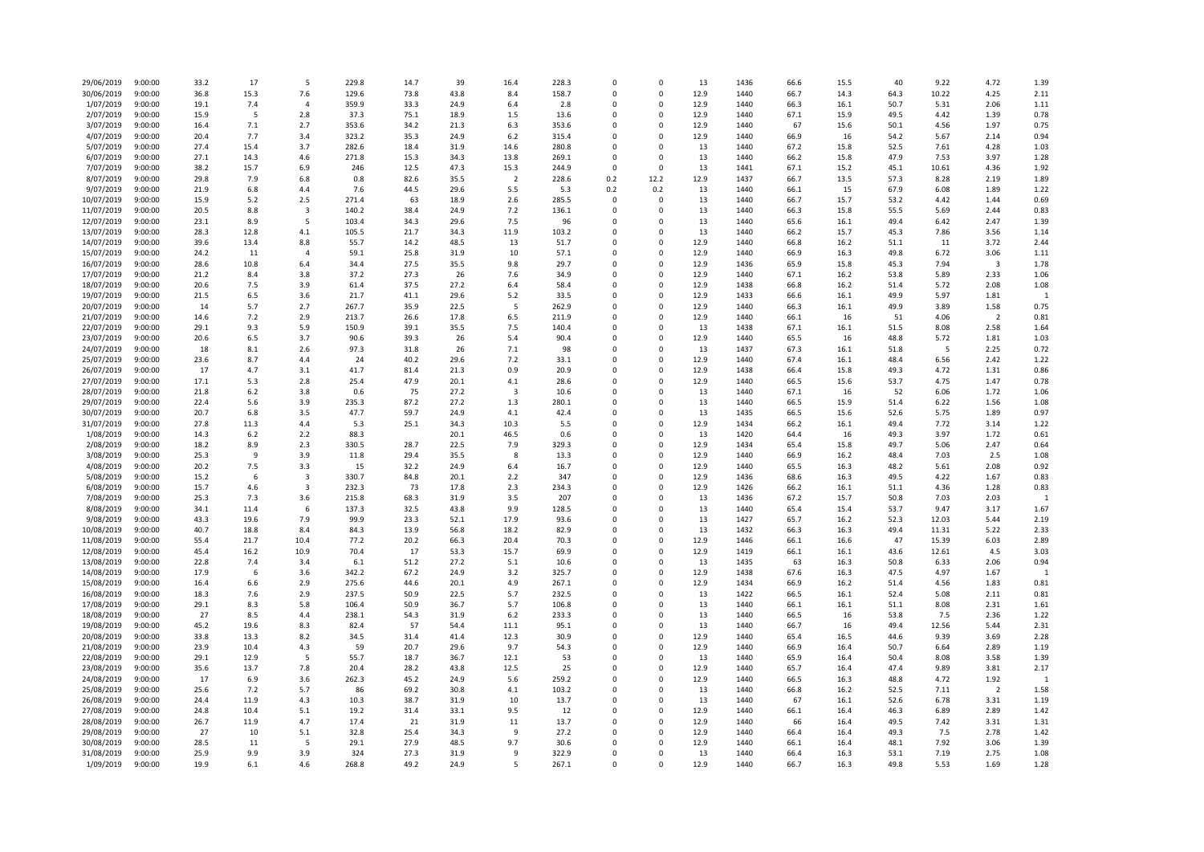| 29/06/2019               | 9:00:00            | 33.2         | 17          | 5               | 229.8         | 14.7         | 39           | 16.4                    | 228.3         | $\Omega$             | $\mathbf 0$            | 13           | 1436         | 66.6         | 15.5         | 40           | 9.22         | 4.72           | 1.39           |
|--------------------------|--------------------|--------------|-------------|-----------------|---------------|--------------|--------------|-------------------------|---------------|----------------------|------------------------|--------------|--------------|--------------|--------------|--------------|--------------|----------------|----------------|
| 30/06/2019               | 9:00:00            | 36.8         | 15.3        | 7.6             | 129.6         | 73.8         | 43.8         | 8.4                     | 158.7         | $\Omega$             | $\mathsf 0$            | 12.9         | 1440         | 66.7         | 14.3         | 64.3         | 10.22        | 4.25           | 2.11           |
| 1/07/2019                | 9:00:00            | 19.1         | 7.4         | $\overline{4}$  | 359.9         | 33.3         | 24.9         | 6.4                     | 2.8           | $\Omega$             | 0                      | 12.9         | 1440         | 66.3         | 16.1         | 50.7         | 5.31         | 2.06           | 1.11           |
| 2/07/2019                | 9:00:00            | 15.9         | 5           | 2.8             | 37.3          | 75.1         | 18.9         | 1.5                     | 13.6          | $\Omega$             | $\Omega$               | 12.9         | 1440         | 67.1         | 15.9         | 49.5         | 4.42         | 1.39           | 0.78           |
| 3/07/2019                | 9:00:00            | 16.4         | 7.1         | 2.7             | 353.6         | 34.2         | 21.3         | 6.3                     | 353.6         |                      | $\mathbf 0$            | 12.9         | 1440         | 67           | 15.6         | 50.1         | 4.56         | 1.97           | 0.75           |
| 4/07/2019                | 9:00:00            | 20.4         | 7.7         | 3.4             | 323.2         | 35.3         | 24.9         | 6.2                     | 315.4         | $\Omega$             | $\mathbf 0$            | 12.9         | 1440         | 66.9         | 16           | 54.2         | 5.67         | 2.14           | 0.94           |
| 5/07/2019                | 9:00:00            | 27.4         | 15.4        | 3.7             | 282.6         | 18.4         | 31.9         | 14.6                    | 280.8         | $\Omega$             | $\mathbf 0$            | 13           | 1440         | 67.2         | 15.8         | 52.5         | 7.61         | 4.28           | 1.03           |
| 6/07/2019                | 9:00:00            | 27.1         | 14.3        | 4.6             | 271.8         | 15.3         | 34.3         | 13.8                    | 269.1         | $\Omega$             | $\overline{0}$         | 13           | 1440         | 66.2         | 15.8         | 47.9         | 7.53         | 3.97           | 1.28           |
| 7/07/2019                | 9:00:00            | 38.2         | 15.7        | 6.9             | 246           | 12.5         | 47.3         | 15.3                    | 244.9         | $\mathbf 0$          | 0                      | 13           | 1441         | 67.1         | 15.2         | 45.1         | 10.61        | 4.36           | 1.92           |
| 8/07/2019                | 9:00:00            | 29.8         | 7.9         | 6.8             | 0.8           | 82.6         | 35.5         | $\overline{2}$          | 228.6         | 0.2                  | 12.2                   | 12.9         | 1437         | 66.7         | 13.5         | 57.3         | 8.28         | 2.19           | 1.89           |
| 9/07/2019                | 9:00:00            | 21.9         | 6.8         | 4.4             | 7.6           | 44.5         | 29.6         | 5.5                     | 5.3           | 0.2                  | 0.2                    | 13           | 1440         | 66.1         | 15           | 67.9         | 6.08         | 1.89           | 1.22           |
| 10/07/2019               | 9:00:00            | 15.9         | 5.2         | 2.5             | 271.4         | 63           | 18.9         | 2.6                     | 285.5         | $\Omega$             | 0                      | 13           | 1440         | 66.7         | 15.7         | 53.2         | 4.42         | 1.44           | 0.69           |
| 11/07/2019               | 9:00:00            | 20.5         | 8.8         | 3               | 140.2         | 38.4         | 24.9         | 7.2                     | 136.1         | $\Omega$             | $\Omega$<br>$\Omega$   | 13           | 1440         | 66.3         | 15.8         | 55.5         | 5.69         | 2.44           | 0.83           |
| 12/07/2019               | 9:00:00            | 23.1         | 8.9         | 5               | 103.4         | 34.3         | 29.6         | 7.5                     | 96            | $\Omega$             | $\Omega$               | 13           | 1440         | 65.6         | 16.1         | 49.4         | 6.42         | 2.47           | 1.39           |
| 13/07/2019               | 9:00:00            | 28.3         | 12.8        | 4.1             | 105.5         | 21.7         | 34.3         | 11.9                    | 103.2         | $\Omega$<br>$\Omega$ | $\mathbf 0$            | 13           | 1440         | 66.2         | 15.7         | 45.3         | 7.86         | 3.56           | 1.14<br>2.44   |
| 14/07/2019               | 9:00:00<br>9:00:00 | 39.6<br>24.2 | 13.4<br>11  | 8.8<br>$\Delta$ | 55.7<br>59.1  | 14.2<br>25.8 | 48.5<br>31.9 | 13<br>10                | 51.7<br>57.1  | $\Omega$             | $\Omega$               | 12.9<br>12.9 | 1440<br>1440 | 66.8         | 16.2<br>16.3 | 51.1<br>49.8 | 11<br>6.72   | 3.72<br>3.06   | 1.11           |
| 15/07/2019<br>16/07/2019 | 9:00:00            | 28.6         | 10.8        | 6.4             | 34.4          | 27.5         | 35.5         | 9.8                     | 29.7          |                      | $\mathbf 0$            | 12.9         | 1436         | 66.9<br>65.9 | 15.8         | 45.3         | 7.94         | 3              | 1.78           |
| 17/07/2019               | 9:00:00            | 21.2         | 8.4         | 3.8             | 37.2          | 27.3         | 26           | 7.6                     | 34.9          | $\Omega$             | $\mathbf 0$            | 12.9         | 1440         | 67.1         | 16.2         | 53.8         | 5.89         | 2.33           | 1.06           |
| 18/07/2019               | 9:00:00            | 20.6         | 7.5         | 3.9             | 61.4          | 37.5         | 27.2         | 6.4                     | 58.4          | $\Omega$             | $\mathbf 0$            | 12.9         | 1438         | 66.8         | 16.2         | 51.4         | 5.72         | 2.08           | 1.08           |
| 19/07/2019               | 9:00:00            | 21.5         | 6.5         | 3.6             | 21.7          | 41.1         | 29.6         | 5.2                     | 33.5          | $\Omega$             | $\Omega$               | 12.9         | 1433         | 66.6         | 16.1         | 49.9         | 5.97         | 1.81           | - 1            |
| 20/07/2019               | 9:00:00            | 14           | 5.7         | 2.7             | 267.7         | 35.9         | 22.5         | 5                       | 262.9         | $\Omega$             | 0                      | 12.9         | 1440         | 66.3         | 16.1         | 49.9         | 3.89         | 1.58           | 0.75           |
| 21/07/2019               | 9:00:00            | 14.6         | 7.2         | 2.9             | 213.7         | 26.6         | 17.8         | 6.5                     | 211.9         | $\Omega$             | $\Omega$               | 12.9         | 1440         | 66.1         | 16           | 51           | 4.06         | $\overline{2}$ | 0.81           |
| 22/07/2019               | 9:00:00            | 29.1         | 9.3         | 5.9             | 150.9         | 39.1         | 35.5         | 7.5                     | 140.4         | $\Omega$             | $\Omega$               | 13           | 1438         | 67.1         | 16.1         | 51.5         | 8.08         | 2.58           | 1.64           |
| 23/07/2019               | 9:00:00            | 20.6         | 6.5         | 3.7             | 90.6          | 39.3         | 26           | 5.4                     | 90.4          |                      | $\Omega$               | 12.9         | 1440         | 65.5         | 16           | 48.8         | 5.72         | 1.81           | 1.03           |
| 24/07/2019               | 9:00:00            | 18           | 8.1         | 2.6             | 97.3          | 31.8         | 26           | 7.1                     | 98            | $\Omega$             | $\mathbf 0$            | 13           | 1437         | 67.3         | 16.1         | 51.8         | -5           | 2.25           | 0.72           |
| 25/07/2019               | 9:00:00            | 23.6         | 8.7         | 4.4             | 24            | 40.2         | 29.6         | 7.2                     | 33.1          | $\Omega$             | $\Omega$               | 12.9         | 1440         | 67.4         | 16.1         | 48.4         | 6.56         | 2.42           | 1.22           |
| 26/07/2019               | 9:00:00            | 17           | 4.7         | 3.1             | 41.7          | 81.4         | 21.3         | 0.9                     | 20.9          | $\Omega$             | $\Omega$               | 12.9         | 1438         | 66.4         | 15.8         | 49.3         | 4.72         | 1.31           | 0.86           |
| 27/07/2019               | 9:00:00            | 17.1         | 5.3         | 2.8             | 25.4          | 47.9         | 20.1         | 4.1                     | 28.6          | $\Omega$             | 0                      | 12.9         | 1440         | 66.5         | 15.6         | 53.7         | 4.75         | 1.47           | 0.78           |
| 28/07/2019               | 9:00:00            | 21.8         | $6.2$       | 3.8             | 0.6           | 75           | 27.2         | $\overline{\mathbf{3}}$ | 10.6          | $\Omega$             | $\Omega$               | 13           | 1440         | 67.1         | 16           | 52           | 6.06         | 1.72           | 1.06           |
| 29/07/2019               | 9:00:00            | 22.4         | 5.6         | 3.9             | 235.3         | 87.2         | 27.2         | 1.3                     | 280.1         | $\Omega$             | $\Omega$               | 13           | 1440         | 66.5         | 15.9         | 51.4         | 6.22         | 1.56           | 1.08           |
| 30/07/2019               | 9:00:00            | 20.7         | 6.8         | 3.5             | 47.7          | 59.7         | 24.9         | 4.1                     | 42.4          | $\Omega$             | $\Omega$               | 13           | 1435         | 66.5         | 15.6         | 52.6         | 5.75         | 1.89           | 0.97           |
| 31/07/2019               | 9:00:00            | 27.8         | 11.3        | 4.4             | 5.3           | 25.1         | 34.3         | 10.3                    | 5.5           | $\Omega$             | $\mathbf 0$            | 12.9         | 1434         | 66.2         | 16.1         | 49.4         | 7.72         | 3.14           | 1.22           |
| 1/08/2019                | 9:00:00            | 14.3         | 6.2         | 2.2             | 88.3          |              | 20.1         | 46.5                    | 0.6           | $\Omega$             | $\mathbf 0$            | 13           | 1420         | 64.4         | 16           | 49.3         | 3.97         | 1.72           | 0.61           |
| 2/08/2019                | 9:00:00            | 18.2         | 8.9         | 2.3             | 330.5         | 28.7         | 22.5         | 7.9                     | 329.3         | $\Omega$             | $\mathbf 0$            | 12.9         | 1434         | 65.4         | 15.8         | 49.7         | 5.06         | 2.47           | 0.64           |
| 3/08/2019                | 9:00:00            | 25.3         | 9           | 3.9             | 11.8          | 29.4         | 35.5         | 8                       | 13.3          | $\Omega$             | 0                      | 12.9         | 1440         | 66.9         | 16.2         | 48.4         | 7.03         | 2.5            | 1.08           |
| 4/08/2019                | 9:00:00            | 20.2         | 7.5         | 3.3             | 15            | 32.2         | 24.9         | 6.4                     | 16.7          | $\Omega$             | $\mathbf 0$            | 12.9         | 1440         | 65.5         | 16.3         | 48.2         | 5.61         | 2.08           | 0.92           |
| 5/08/2019                | 9:00:00            | 15.2         | -6          | $\overline{3}$  | 330.7         | 84.8         | 20.1         | 2.2                     | 347           | $\Omega$             | $\Omega$               | 12.9         | 1436         | 68.6         | 16.3         | 49.5         | 4.22         | 1.67           | 0.83           |
| 6/08/2019                | 9:00:00            | 15.7         | 4.6         | 3               | 232.3         | 73           | 17.8         | 2.3                     | 234.3         | $\Omega$             | $\mathbf 0$            | 12.9         | 1426         | 66.2         | 16.1         | 51.1         | 4.36         | 1.28           | 0.83           |
| 7/08/2019                | 9:00:00            | 25.3         | 7.3         | 3.6             | 215.8         | 68.3         | 31.9         | 3.5                     | 207           | $\Omega$             | $\Omega$               | 13           | 1436         | 67.2         | 15.7         | 50.8         | 7.03         | 2.03           |                |
| 8/08/2019                | 9:00:00            | 34.1         | 11.4        | 6               | 137.3         | 32.5         | 43.8         | 9.9                     | 128.5         | $\Omega$             | $\Omega$               | 13           | 1440         | 65.4         | 15.4         | 53.7         | 9.47         | 3.17           | 1.67           |
| 9/08/2019                | 9:00:00            | 43.3         | 19.6        | 7.9             | 99.9          | 23.3         | 52.1         | 17.9                    | 93.6          | $\Omega$             | $\Omega$               | 13           | 1427         | 65.7         | 16.2         | 52.3         | 12.03        | 5.44           | 2.19           |
| 10/08/2019               | 9:00:00            | 40.7         | 18.8        | 8.4             | 84.3          | 13.9         | 56.8         | 18.2                    | 82.9          | $\mathbf 0$          | $\mathbf 0$            | 13           | 1432         | 66.3         | 16.3         | 49.4         | 11.31        | 5.22           | 2.33           |
| 11/08/2019               | 9:00:00            | 55.4         | 21.7        | 10.4            | 77.2          | 20.2         | 66.3         | 20.4                    | 70.3          | $\Omega$             | $\Omega$               | 12.9         | 1446         | 66.1         | 16.6         | 47           | 15.39        | 6.03           | 2.89           |
| 12/08/2019               | 9:00:00            | 45.4         | 16.2        | 10.9            | 70.4          | 17           | 53.3         | 15.7                    | 69.9          | $\Omega$             | $\Omega$               | 12.9         | 1419         | 66.1         | 16.1         | 43.6         | 12.61        | 4.5            | 3.03           |
| 13/08/2019               | 9:00:00            | 22.8         | 7.4         | 3.4             | 6.1           | 51.2         | 27.2         | 5.1                     | 10.6          | $\Omega$             | $\mathbf 0$            | 13           | 1435         | 63           | 16.3         | 50.8         | 6.33         | 2.06           | 0.94           |
| 14/08/2019               | 9:00:00            | 17.9         | 6           | 3.6             | 342.2         | 67.2         | 24.9         | 3.2                     | 325.7         | $\Omega$             | $\Omega$               | 12.9         | 1438         | 67.6         | 16.3         | 47.5         | 4.97         | 1.67           | $\overline{1}$ |
| 15/08/2019               | 9:00:00            | 16.4         | 6.6         | 2.9             | 275.6         | 44.6         | 20.1         | 4.9                     | 267.1         | $\Omega$             | $\Omega$               | 12.9         | 1434         | 66.9         | 16.2         | 51.4         | 4.56         | 1.83           | 0.81           |
| 16/08/2019               | 9:00:00            | 18.3         | 7.6         | 2.9             | 237.5         | 50.9         | 22.5         | 5.7                     | 232.5         | $\Omega$             | 0                      | 13           | 1422         | 66.5         | 16.1         | 52.4         | 5.08         | 2.11           | 0.81           |
| 17/08/2019               | 9:00:00            | 29.1         | 8.3         | 5.8             | 106.4         | 50.9         | 36.7         | 5.7                     | 106.8         | $\Omega$<br>$\Omega$ | $^{\circ}$<br>$\Omega$ | 13           | 1440         | 66.1         | 16.1         | 51.1         | 8.08         | 2.31           | 1.61           |
| 18/08/2019<br>19/08/2019 | 9:00:00<br>9:00:00 | 27<br>45.2   | 8.5<br>19.6 | 4.4<br>8.3      | 238.1<br>82.4 | 54.3<br>57   | 31.9<br>54.4 | 6.2<br>11.1             | 233.3<br>95.1 |                      | $\mathbf 0$            | 13<br>13     | 1440<br>1440 | 66.5<br>66.7 | 16<br>16     | 53.8<br>49.4 | 7.5<br>12.56 | 2.36<br>5.44   | 1.22<br>2.31   |
| 20/08/2019               | 9:00:00            | 33.8         | 13.3        | 8.2             | 34.5          | 31.4         | 41.4         | 12.3                    | 30.9          | $\Omega$             | $\mathbf 0$            | 12.9         | 1440         | 65.4         | 16.5         | 44.6         | 9.39         | 3.69           | 2.28           |
| 21/08/2019               | 9:00:00            | 23.9         | 10.4        | 4.3             | 59            | 20.7         | 29.6         | 9.7                     | 54.3          | $\Omega$             | $\mathbf 0$            | 12.9         | 1440         | 66.9         | 16.4         | 50.7         | 6.64         | 2.89           | 1.19           |
| 22/08/2019               | 9:00:00            | 29.1         | 12.9        | 5               | 55.7          | 18.7         | 36.7         | 12.1                    | 53            | $\Omega$             | $\Omega$               | 13           | 1440         | 65.9         | 16.4         | 50.4         | 8.08         | 3.58           | 1.39           |
| 23/08/2019               | 9:00:00            | 35.6         | 13.7        | 7.8             | 20.4          | 28.2         | 43.8         | 12.5                    | 25            | $\Omega$             | 0                      | 12.9         | 1440         | 65.7         | 16.4         | 47.4         | 9.89         | 3.81           | 2.17           |
| 24/08/2019               | 9:00:00            | 17           | 6.9         | 3.6             | 262.3         | 45.2         | 24.9         | 5.6                     | 259.2         | $\Omega$             | $\Omega$               | 12.9         | 1440         | 66.5         | 16.3         | 48.8         | 4.72         | 1.92           | $\overline{1}$ |
| 25/08/2019               | 9:00:00            | 25.6         | 7.2         | 5.7             | 86            | 69.2         | 30.8         | 4.1                     | 103.2         | $\Omega$             | $\mathbf 0$            | 13           | 1440         | 66.8         | 16.2         | 52.5         | 7.11         | 2              | 1.58           |
| 26/08/2019               | 9:00:00            | 24.4         | 11.9        | 4.3             | 10.3          | 38.7         | 31.9         | 10                      | 13.7          | $\Omega$             | $\Omega$               | 13           | 1440         | 67           | 16.1         | 52.6         | 6.78         | 3.31           | 1.19           |
| 27/08/2019               | 9:00:00            | 24.8         | 10.4        | 5.1             | 19.2          | 31.4         | 33.1         | 9.5                     | 12            | $\Omega$             | $\mathbf 0$            | 12.9         | 1440         | 66.1         | 16.4         | 46.3         | 6.89         | 2.89           | 1.42           |
| 28/08/2019               | 9:00:00            | 26.7         | 11.9        | 4.7             | 17.4          | 21           | 31.9         | 11                      | 13.7          | $\Omega$             | $\Omega$               | 12.9         | 1440         | 66           | 16.4         | 49.5         | 7.42         | 3.31           | 1.31           |
| 29/08/2019               | 9:00:00            | 27           | 10          | 5.1             | 32.8          | 25.4         | 34.3         | 9                       | 27.2          | $\Omega$             | $\Omega$               | 12.9         | 1440         | 66.4         | 16.4         | 49.3         | 7.5          | 2.78           | 1.42           |
| 30/08/2019               | 9:00:00            | 28.5         | 11          | 5               | 29.1          | 27.9         | 48.5         | 9.7                     | 30.6          | $\Omega$             | $\mathbf 0$            | 12.9         | 1440         | 66.1         | 16.4         | 48.1         | 7.92         | 3.06           | 1.39           |
| 31/08/2019               | 9:00:00            | 25.9         | 9.9         | 3.9             | 324           | 27.3         | 31.9         | $\mathbf{q}$            | 322.9         | $\Omega$             | $\Omega$               | 13           | 1440         | 66.4         | 16.3         | 53.1         | 7.19         | 2.75           | 1.08           |
| 1/09/2019                | 9:00:00            | 19.9         | 6.1         | 4.6             | 268.8         | 49.2         | 24.9         | 5                       | 267.1         | $\Omega$             | $\Omega$               | 12.9         | 1440         | 66.7         | 16.3         | 49.8         | 5.53         | 1.69           | 1.28           |
|                          |                    |              |             |                 |               |              |              |                         |               |                      |                        |              |              |              |              |              |              |                |                |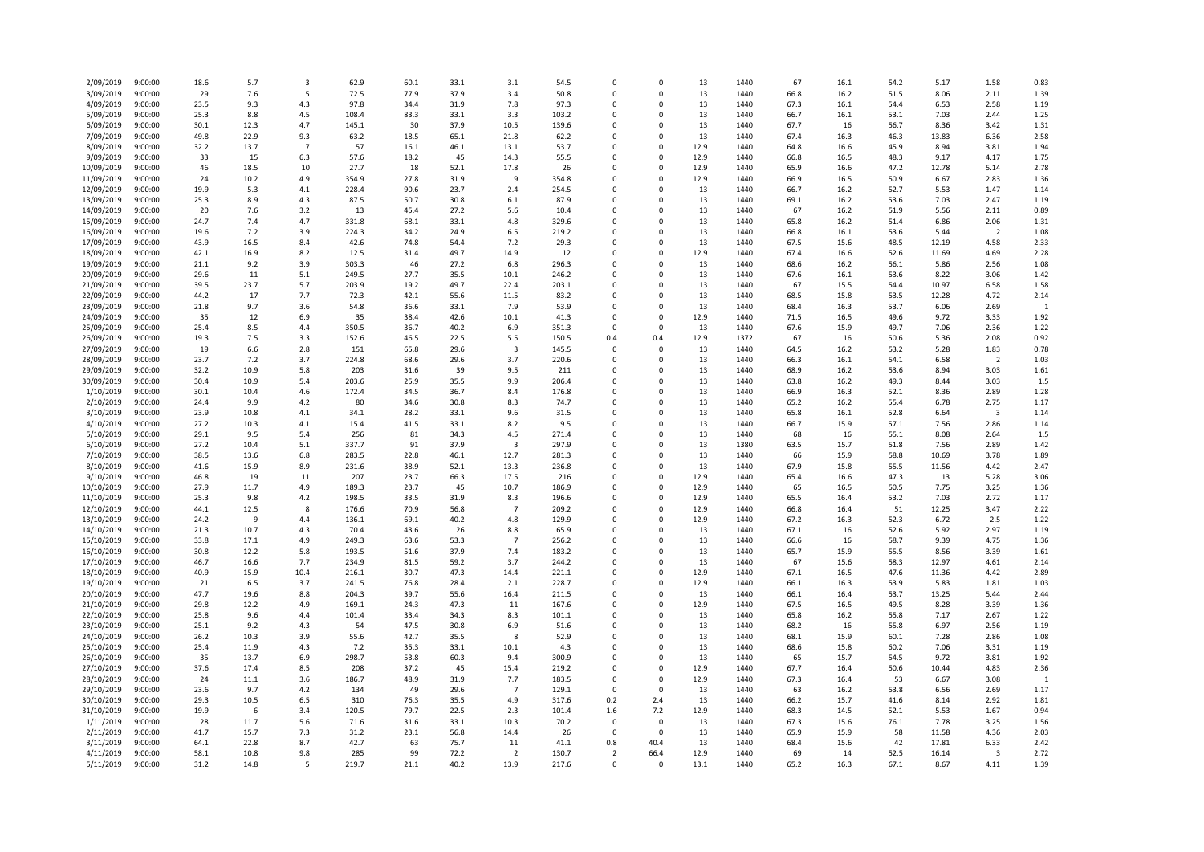| 2/09/2019                | 9:00:00            | 18.6         | 5.7         | $\overline{\mathbf{3}}$ | 62.9           | 60.1         | 33.1         | 3.1            | 54.5           | $\mathbf 0$              | 0                    | 13         | 1440         | 67           | 16.1         | 54.2         | 5.17         | 1.58                 | 0.83         |
|--------------------------|--------------------|--------------|-------------|-------------------------|----------------|--------------|--------------|----------------|----------------|--------------------------|----------------------|------------|--------------|--------------|--------------|--------------|--------------|----------------------|--------------|
| 3/09/2019                | 9:00:00            | 29           | 7.6         | 5                       | 72.5           | 77.9         | 37.9         | 3.4            | 50.8           | $\Omega$                 | $\Omega$             | 13         | 1440         | 66.8         | 16.2         | 51.5         | 8.06         | 2.11                 | 1.39         |
| 4/09/2019                | 9:00:00            | 23.5         | 9.3         | 4.3                     | 97.8           | 34.4         | 31.9         | 7.8            | 97.3           | $\mathbf 0$              | 0                    | 13         | 1440         | 67.3         | 16.1         | 54.4         | 6.53         | 2.58                 | 1.19         |
| 5/09/2019                | 9:00:00            | 25.3         | 8.8         | 4.5                     | 108.4          | 83.3         | 33.1         | 3.3            | 103.2          | $\Omega$                 | $\Omega$             | 13         | 1440         | 66.7         | 16.1         | 53.1         | 7.03         | 2.44                 | 1.25         |
| 6/09/2019                | 9:00:00            | 30.1         | 12.3        | 4.7                     | 145.1          | 30           | 37.9         | 10.5           | 139.6          | $\Omega$                 | $\Omega$             | 13         | 1440         | 67.7         | 16           | 56.7         | 8.36         | 3.42                 | 1.31         |
| 7/09/2019                | 9:00:00            | 49.8         | 22.9        | 9.3                     | 63.2           | 18.5         | 65.1         | 21.8           | 62.2           | $\Omega$                 | 0                    | 13         | 1440         | 67.4         | 16.3         | 46.3         | 13.83        | 6.36                 | 2.58         |
| 8/09/2019                | 9:00:00            | 32.2         | 13.7        | $\overline{7}$          | 57             | 16.1         | 46.1         | 13.1           | 53.7           | $\Omega$                 | $\Omega$             | 12.9       | 1440         | 64.8         | 16.6         | 45.9         | 8.94         | 3.81                 | 1.94         |
| 9/09/2019                | 9:00:00            | 33           | 15          | 6.3                     | 57.6           | 18.2         | 45           | 14.3           | 55.5           | $\Omega$                 | $\Omega$             | 12.9       | 1440         | 66.8         | 16.5         | 48.3         | 9.17         | 4.17                 | 1.75         |
| 10/09/2019               | 9:00:00            | 46           | 18.5        | 10                      | 27.7           | 18           | 52.1         | 17.8           | 26             | 0                        | 0                    | 12.9       | 1440         | 65.9         | 16.6         | 47.2         | 12.78        | 5.14                 | 2.78         |
| 11/09/2019               | 9:00:00            | 24           | 10.2        | 4.9                     | 354.9          | 27.8         | 31.9         | 9              | 354.8          | $\Omega$                 | $\Omega$             | 12.9       | 1440         | 66.9         | 16.5         | 50.9         | 6.67         | 2.83                 | 1.36         |
| 12/09/2019               | 9:00:00<br>9:00:00 | 19.9<br>25.3 | 5.3<br>8.9  | 4.1<br>4.3              | 228.4<br>87.5  | 90.6<br>50.7 | 23.7<br>30.8 | 2.4<br>6.1     | 254.5<br>87.9  | $\Omega$<br>$\Omega$     | 0<br>$\Omega$        | 13<br>13   | 1440<br>1440 | 66.7<br>69.1 | 16.2<br>16.2 | 52.7<br>53.6 | 5.53<br>7.03 | 1.47<br>2.47         | 1.14<br>1.19 |
| 13/09/2019<br>14/09/2019 | 9:00:00            | 20           | 7.6         | 3.2                     | 13             | 45.4         | 27.2         | 5.6            | 10.4           | $\mathbf 0$              | 0                    | 13         | 1440         | 67           | 16.2         | 51.9         | 5.56         | 2.11                 | 0.89         |
| 15/09/2019               | 9:00:00            | 24.7         | 7.4         | 4.7                     | 331.8          | 68.1         | 33.1         | 4.8            | 329.6          | $\Omega$                 | $\Omega$             | 13         | 1440         | 65.8         | 16.2         | 51.4         | 6.86         | 2.06                 | 1.31         |
| 16/09/2019               | 9:00:00            | 19.6         | 7.2         | 3.9                     | 224.3          | 34.2         | 24.9         | 6.5            | 219.2          | $\Omega$                 | 0                    | 13         | 1440         | 66.8         | 16.1         | 53.6         | 5.44         | $\overline{2}$       | 1.08         |
| 17/09/2019               | 9:00:00            | 43.9         | 16.5        | 8.4                     | 42.6           | 74.8         | 54.4         | 7.2            | 29.3           | $\Omega$                 | 0                    | 13         | 1440         | 67.5         | 15.6         | 48.5         | 12.19        | 4.58                 | 2.33         |
| 18/09/2019               | 9:00:00            | 42.1         | 16.9        | 8.2                     | 12.5           | 31.4         | 49.7         | 14.9           | 12             | $\Omega$                 | $\Omega$             | 12.9       | 1440         | 67.4         | 16.6         | 52.6         | 11.69        | 4.69                 | 2.28         |
| 19/09/2019               | 9:00:00            | 21.1         | 9.2         | 3.9                     | 303.3          | 46           | 27.2         | 6.8            | 296.3          | $\Omega$                 | $\Omega$             | 13         | 1440         | 68.6         | 16.2         | 56.1         | 5.86         | 2.56                 | 1.08         |
| 20/09/2019               | 9:00:00            | 29.6         | 11          | 5.1                     | 249.5          | 27.7         | 35.5         | 10.1           | 246.2          | $\Omega$                 | $\Omega$             | 13         | 1440         | 67.6         | 16.1         | 53.6         | 8.22         | 3.06                 | 1.42         |
| 21/09/2019               | 9:00:00            | 39.5         | 23.7        | 5.7                     | 203.9          | 19.2         | 49.7         | 22.4           | 203.1          | $\Omega$                 | $\Omega$             | 13         | 1440         | 67           | 15.5         | 54.4         | 10.97        | 6.58                 | 1.58         |
| 22/09/2019               | 9:00:00            | 44.2         | 17          | 7.7                     | 72.3           | 42.1         | 55.6         | 11.5           | 83.2           | $\Omega$                 | 0                    | 13         | 1440         | 68.5         | 15.8         | 53.5         | 12.28        | 4.72                 | 2.14         |
| 23/09/2019               | 9:00:00            | 21.8         | 9.7         | 3.6                     | 54.8           | 36.6         | 33.1         | 7.9            | 53.9           | $\Omega$                 | $\Omega$             | 13         | 1440         | 68.4         | 16.3         | 53.7         | 6.06         | 2.69                 | $\mathbf{1}$ |
| 24/09/2019               | 9:00:00            | 35           | 12          | 6.9                     | 35             | 38.4         | 42.6         | 10.1           | 41.3           | 0                        | 0                    | 12.9       | 1440         | 71.5         | 16.5         | 49.6         | 9.72         | 3.33                 | 1.92         |
| 25/09/2019               | 9:00:00            | 25.4         | 8.5         | 4.4                     | 350.5          | 36.7         | 40.2         | 6.9            | 351.3          | $\Omega$                 | $\Omega$             | 13         | 1440         | 67.6         | 15.9         | 49.7         | 7.06         | 2.36                 | 1.22         |
| 26/09/2019               | 9:00:00            | 19.3         | 7.5         | 3.3                     | 152.6          | 46.5         | 22.5         | 5.5            | 150.5          | 0.4                      | 0.4                  | 12.9       | 1372         | 67           | 16           | 50.6         | 5.36         | 2.08                 | 0.92         |
| 27/09/2019               | 9:00:00            | 19           | 6.6         | 2.8                     | 151            | 65.8         | 29.6         | 3              | 145.5          | $\Omega$                 | $\Omega$             | 13         | 1440         | 64.5         | 16.2         | 53.2         | 5.28         | 1.83                 | 0.78         |
| 28/09/2019               | 9:00:00            | 23.7         | 7.2         | 3.7                     | 224.8          | 68.6         | 29.6         | 3.7            | 220.6          | $\Omega$                 | 0                    | 13         | 1440         | 66.3         | 16.1         | 54.1         | 6.58         | $\overline{2}$       | 1.03         |
| 29/09/2019               | 9:00:00            | 32.2         | 10.9        | 5.8                     | 203            | 31.6         | 39           | 9.5            | 211            | $\Omega$                 | $\Omega$             | 13         | 1440         | 68.9         | 16.2         | 53.6         | 8.94         | 3.03                 | 1.61         |
| 30/09/2019               | 9:00:00            | 30.4         | 10.9        | 5.4                     | 203.6          | 25.9         | 35.5         | 9.9            | 206.4          | $\Omega$                 | $\Omega$             | 13         | 1440         | 63.8         | 16.2         | 49.3         | 8.44         | 3.03                 | 1.5          |
| 1/10/2019                | 9:00:00            | 30.1         | 10.4        | 4.6                     | 172.4          | 34.5         | 36.7         | 8.4            | 176.8          | $\Omega$                 | $\Omega$             | 13         | 1440         | 66.9         | 16.3         | 52.1         | 8.36         | 2.89                 | 1.28         |
| 2/10/2019                | 9:00:00            | 24.4         | 9.9<br>10.8 | 4.2                     | 80             | 34.6         | 30.8         | 8.3<br>9.6     | 74.7           | $\Omega$<br>$\Omega$     | $\Omega$<br>$\Omega$ | 13<br>13   | 1440<br>1440 | 65.2         | 16.2         | 55.4<br>52.8 | 6.78         | 2.75<br>$\mathbf{3}$ | 1.17         |
| 3/10/2019<br>4/10/2019   | 9:00:00<br>9:00:00 | 23.9<br>27.2 | 10.3        | 4.1<br>4.1              | 34.1<br>15.4   | 28.2<br>41.5 | 33.1<br>33.1 | 8.2            | 31.5<br>9.5    | $\Omega$                 | 0                    | 13         | 1440         | 65.8<br>66.7 | 16.1<br>15.9 | 57.1         | 6.64<br>7.56 | 2.86                 | 1.14<br>1.14 |
| 5/10/2019                | 9:00:00            | 29.1         | 9.5         | 5.4                     | 256            | 81           | 34.3         | 4.5            | 271.4          | $\Omega$                 | $\Omega$             | 13         | 1440         | 68           | 16           | 55.1         | 8.08         | 2.64                 | 1.5          |
| 6/10/2019                | 9:00:00            | 27.2         | 10.4        | 5.1                     | 337.7          | 91           | 37.9         | 3              | 297.9          | $\mathbf 0$              | 0                    | 13         | 1380         | 63.5         | 15.7         | 51.8         | 7.56         | 2.89                 | 1.42         |
| 7/10/2019                | 9:00:00            | 38.5         | 13.6        | 6.8                     | 283.5          | 22.8         | 46.1         | 12.7           | 281.3          | $\Omega$                 | $\Omega$             | 13         | 1440         | 66           | 15.9         | 58.8         | 10.69        | 3.78                 | 1.89         |
| 8/10/2019                | 9:00:00            | 41.6         | 15.9        | 8.9                     | 231.6          | 38.9         | 52.1         | 13.3           | 236.8          | $\Omega$                 | 0                    | 13         | 1440         | 67.9         | 15.8         | 55.5         | 11.56        | 4.42                 | 2.47         |
| 9/10/2019                | 9:00:00            | 46.8         | 19          | 11                      | 207            | 23.7         | 66.3         | 17.5           | 216            | $\Omega$                 | $\Omega$             | 12.9       | 1440         | 65.4         | 16.6         | 47.3         | 13           | 5.28                 | 3.06         |
| 10/10/2019               | 9:00:00            | 27.9         | 11.7        | 4.9                     | 189.3          | 23.7         | 45           | 10.7           | 186.9          | $\Omega$                 | $\Omega$             | 12.9       | 1440         | 65           | 16.5         | 50.5         | 7.75         | 3.25                 | 1.36         |
| 11/10/2019               | 9:00:00            | 25.3         | 9.8         | 4.2                     | 198.5          | 33.5         | 31.9         | 8.3            | 196.6          | $\mathbf 0$              | 0                    | 12.9       | 1440         | 65.5         | 16.4         | 53.2         | 7.03         | 2.72                 | 1.17         |
| 12/10/2019               | 9:00:00            | 44.1         | 12.5        | 8                       | 176.6          | 70.9         | 56.8         | $\overline{7}$ | 209.2          | $\Omega$                 | $\Omega$             | 12.9       | 1440         | 66.8         | 16.4         | 51           | 12.25        | 3.47                 | 2.22         |
| 13/10/2019               | 9:00:00            | 24.2         | 9           | 4.4                     | 136.1          | 69.1         | 40.2         | 4.8            | 129.9          | $\Omega$                 | $\Omega$             | 12.9       | 1440         | 67.2         | 16.3         | 52.3         | 6.72         | 2.5                  | 1.22         |
| 14/10/2019               | 9:00:00            | 21.3         | 10.7        | 4.3                     | 70.4           | 43.6         | 26           | 8.8            | 65.9           | 0                        | 0                    | 13         | 1440         | 67.1         | 16           | 52.6         | 5.92         | 2.97                 | 1.19         |
| 15/10/2019               | 9:00:00            | 33.8         | 17.1        | 4.9                     | 249.3          | 63.6         | 53.3         | $\overline{7}$ | 256.2          | $\Omega$                 | $\Omega$             | 13         | 1440         | 66.6         | 16           | 58.7         | 9.39         | 4.75                 | 1.36         |
| 16/10/2019               | 9:00:00            | 30.8         | 12.2        | 5.8                     | 193.5          | 51.6         | 37.9         | 7.4            | 183.2          | $\Omega$                 | 0                    | 13         | 1440         | 65.7         | 15.9         | 55.5         | 8.56         | 3.39                 | 1.61         |
| 17/10/2019               | 9:00:00            | 46.7         | 16.6        | 7.7                     | 234.9          | 81.5         | 59.2         | 3.7            | 244.2          | $\Omega$                 | $\Omega$             | 13         | 1440         | 67           | 15.6         | 58.3         | 12.97        | 4.61                 | 2.14         |
| 18/10/2019               | 9:00:00            | 40.9         | 15.9        | 10.4                    | 216.1          | 30.7         | 47.3         | 14.4           | 221.1          | $\mathbf 0$              | 0                    | 12.9       | 1440         | 67.1         | 16.5         | 47.6         | 11.36        | 4.42                 | 2.89         |
| 19/10/2019               | 9:00:00            | 21           | 6.5         | 3.7                     | 241.5          | 76.8         | 28.4         | 2.1            | 228.7          | $\Omega$                 | $\Omega$             | 12.9       | 1440         | 66.1         | 16.3         | 53.9         | 5.83         | 1.81                 | 1.03         |
| 20/10/2019               | 9:00:00            | 47.7         | 19.6        | 8.8                     | 204.3          | 39.7         | 55.6         | 16.4           | 211.5          | $\Omega$                 | 0                    | 13         | 1440         | 66.1         | 16.4         | 53.7         | 13.25        | 5.44                 | 2.44         |
| 21/10/2019               | 9:00:00            | 29.8         | 12.2        | 4.9<br>4.4              | 169.1<br>101.4 | 24.3<br>33.4 | 47.3<br>34.3 | 11<br>8.3      | 167.6<br>101.1 | 0<br>$\Omega$            | 0<br>$\Omega$        | 12.9<br>13 | 1440<br>1440 | 67.5<br>65.8 | 16.5<br>16.2 | 49.5<br>55.8 | 8.28<br>7.17 | 3.39<br>2.67         | 1.36         |
| 22/10/2019<br>23/10/2019 | 9:00:00<br>9:00:00 | 25.8<br>25.1 | 9.6<br>9.2  | 4.3                     | 54             | 47.5         | 30.8         | 6.9            | 51.6           | $\Omega$                 | $\Omega$             | 13         | 1440         | 68.2         | 16           | 55.8         | 6.97         | 2.56                 | 1.22<br>1.19 |
| 24/10/2019               | 9:00:00            | 26.2         | 10.3        | 3.9                     | 55.6           | 42.7         | 35.5         | 8              | 52.9           | $\Omega$                 | $\Omega$             | 13         | 1440         | 68.1         | 15.9         | 60.1         | 7.28         | 2.86                 | 1.08         |
| 25/10/2019               | 9:00:00            | 25.4         | 11.9        | 4.3                     | 7.2            | 35.3         | 33.1         | 10.1           | 4.3            | $\Omega$                 | $\Omega$             | 13         | 1440         | 68.6         | 15.8         | 60.2         | 7.06         | 3.31                 | 1.19         |
| 26/10/2019               | 9:00:00            | 35           | 13.7        | 6.9                     | 298.7          | 53.8         | 60.3         | 9.4            | 300.9          | $\Omega$                 | 0                    | 13         | 1440         | 65           | 15.7         | 54.5         | 9.72         | 3.81                 | 1.92         |
| 27/10/2019               | 9:00:00            | 37.6         | 17.4        | 8.5                     | 208            | 37.2         | 45           | 15.4           | 219.2          | $\Omega$                 | $\Omega$             | 12.9       | 1440         | 67.7         | 16.4         | 50.6         | 10.44        | 4.83                 | 2.36         |
| 28/10/2019               | 9:00:00            | 24           | 11.1        | 3.6                     | 186.7          | 48.9         | 31.9         | 7.7            | 183.5          | 0                        | 0                    | 12.9       | 1440         | 67.3         | 16.4         | 53           | 6.67         | 3.08                 |              |
| 29/10/2019               | 9:00:00            | 23.6         | 9.7         | 4.2                     | 134            | 49           | 29.6         | $\overline{7}$ | 129.1          | $\Omega$                 | $\Omega$             | 13         | 1440         | 63           | 16.2         | 53.8         | 6.56         | 2.69                 | 1.17         |
| 30/10/2019               | 9:00:00            | 29.3         | 10.5        | 6.5                     | 310            | 76.3         | 35.5         | 4.9            | 317.6          | 0.2                      | 2.4                  | 13         | 1440         | 66.2         | 15.7         | 41.6         | 8.14         | 2.92                 | 1.81         |
| 31/10/2019               | 9:00:00            | 19.9         | 6           | 3.4                     | 120.5          | 79.7         | 22.5         | 2.3            | 101.4          | 1.6                      | 7.2                  | 12.9       | 1440         | 68.3         | 14.5         | 52.1         | 5.53         | 1.67                 | 0.94         |
| 1/11/2019                | 9:00:00            | 28           | 11.7        | 5.6                     | 71.6           | 31.6         | 33.1         | 10.3           | 70.2           | 0                        | 0                    | 13         | 1440         | 67.3         | 15.6         | 76.1         | 7.78         | 3.25                 | 1.56         |
| 2/11/2019                | 9:00:00            | 41.7         | 15.7        | 7.3                     | 31.2           | 23.1         | 56.8         | 14.4           | 26             | $\mathbf 0$              | $\mathbf 0$          | 13         | 1440         | 65.9         | 15.9         | 58           | 11.58        | 4.36                 | 2.03         |
| 3/11/2019                | 9:00:00            | 64.1         | 22.8        | 8.7                     | 42.7           | 63           | 75.7         | 11             | 41.1           | 0.8                      | 40.4                 | 13         | 1440         | 68.4         | 15.6         | 42           | 17.81        | 6.33                 | 2.42         |
| 4/11/2019                | 9:00:00            | 58.1         | 10.8        | 9.8                     | 285            | 99           | 72.2         | $\overline{2}$ | 130.7          | $\overline{\phantom{0}}$ | 66.4                 | 12.9       | 1440         | 69           | 14           | 52.5         | 16.14        | $\mathbf{3}$         | 2.72         |
| 5/11/2019                | 9:00:00            | 31.2         | 14.8        | 5                       | 219.7          | 21.1         | 40.2         | 13.9           | 217.6          | $\Omega$                 | $\Omega$             | 13.1       | 1440         | 65.2         | 16.3         | 67.1         | 8.67         | 4.11                 | 1.39         |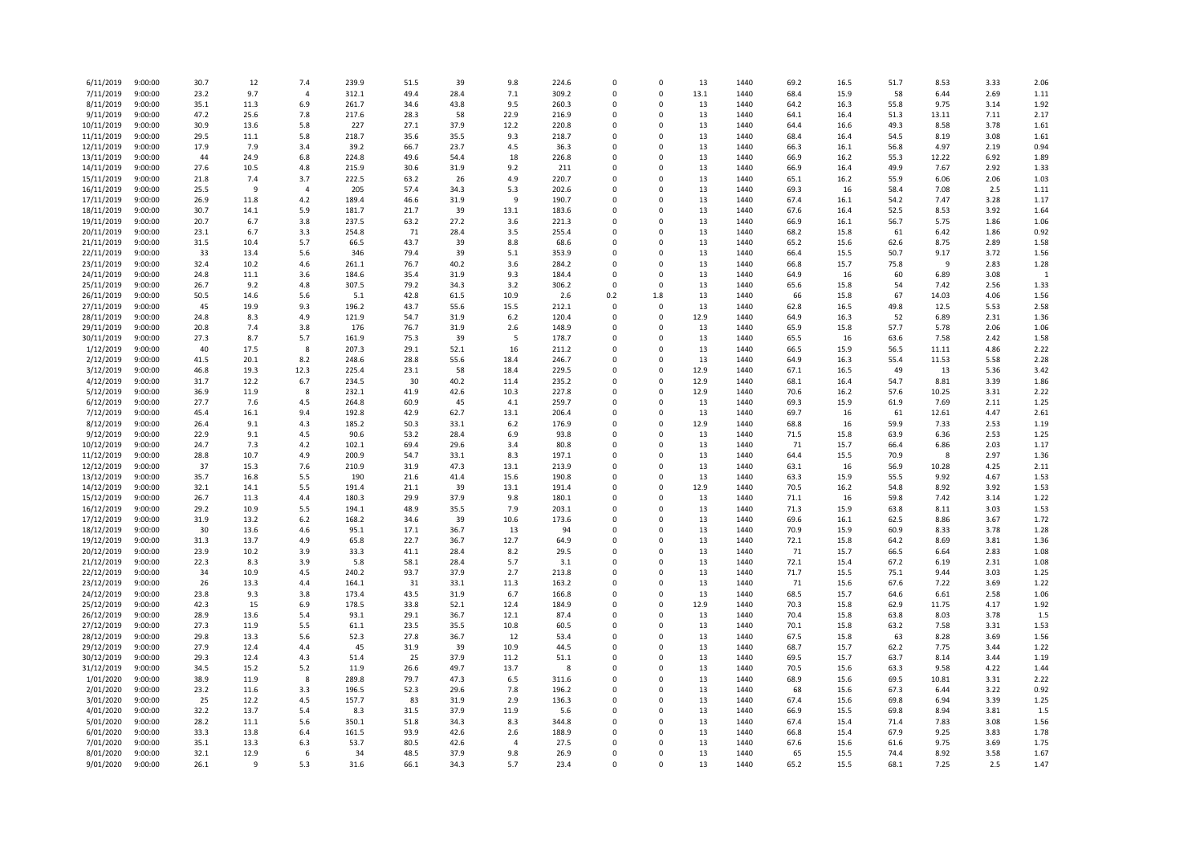| 6/11/2019                | 9:00:00            | 30.7         | 12           | 7.4            | 239.9          | 51.5         | 39           | 9.8            | 224.6          | $\mathbf 0$             | 0             | 13         | 1440         | 69.2         | 16.5         | 51.7         | 8.53         | 3.33         | 2.06         |
|--------------------------|--------------------|--------------|--------------|----------------|----------------|--------------|--------------|----------------|----------------|-------------------------|---------------|------------|--------------|--------------|--------------|--------------|--------------|--------------|--------------|
| 7/11/2019                | 9:00:00            | 23.2         | 9.7          | $\overline{4}$ | 312.1          | 49.4         | 28.4         | 7.1            | 309.2          | $\Omega$                | $\Omega$      | 13.1       | 1440         | 68.4         | 15.9         | 58           | 6.44         | 2.69         | 1.11         |
| 8/11/2019                | 9:00:00            | 35.1         | 11.3         | 6.9            | 261.7          | 34.6         | 43.8         | 9.5            | 260.3          | $\mathbf 0$             | 0             | 13         | 1440         | 64.2         | 16.3         | 55.8         | 9.75         | 3.14         | 1.92         |
| 9/11/2019                | 9:00:00            | 47.2         | 25.6         | 7.8            | 217.6          | 28.3         | 58           | 22.9           | 216.9          | $\Omega$                | $\Omega$      | 13         | 1440         | 64.1         | 16.4         | 51.3         | 13.11        | 7.11         | 2.17         |
| 10/11/2019               | 9:00:00            | 30.9         | 13.6         | 5.8            | 227            | 27.1         | 37.9         | 12.2           | 220.8          | $\Omega$                | 0             | 13         | 1440         | 64.4         | 16.6         | 49.3         | 8.58         | 3.78         | 1.61         |
| 11/11/2019               | 9:00:00            | 29.5         | 11.1         | 5.8            | 218.7          | 35.6         | 35.5         | 9.3            | 218.7          | $\mathbf 0$             | 0             | 13         | 1440         | 68.4         | 16.4         | 54.5         | 8.19         | 3.08         | 1.61         |
| 12/11/2019               | 9:00:00            | 17.9         | 7.9          | 3.4            | 39.2           | 66.7         | 23.7         | 4.5            | 36.3           | $\Omega$                | $\Omega$      | 13         | 1440         | 66.3         | 16.1         | 56.8         | 4.97         | 2.19         | 0.94         |
| 13/11/2019               | 9:00:00            | 44           | 24.9         | 6.8            | 224.8          | 49.6         | 54.4         | 18             | 226.8          | $\Omega$                | $\Omega$      | 13         | 1440         | 66.9         | 16.2         | 55.3         | 12.22        | 6.92         | 1.89         |
| 14/11/2019               | 9:00:00            | 27.6         | 10.5         | 4.8            | 215.9          | 30.6         | 31.9         | 9.2            | 211            | 0                       | 0             | 13         | 1440         | 66.9         | 16.4         | 49.9         | 7.67         | 2.92         | 1.33         |
| 15/11/2019               | 9:00:00            | 21.8         | 7.4          | 3.7            | 222.5          | 63.2         | 26           | 4.9            | 220.7          | $\Omega$                | $\Omega$      | 13         | 1440         | 65.1         | 16.2         | 55.9         | 6.06         | 2.06         | 1.03         |
| 16/11/2019               | 9:00:00            | 25.5         | 9            | $\overline{4}$ | 205            | 57.4         | 34.3         | 5.3            | 202.6          | $\mathbf 0$             | 0             | 13         | 1440         | 69.3         | 16           | 58.4         | 7.08         | 2.5          | 1.11         |
| 17/11/2019               | 9:00:00            | 26.9         | 11.8         | 4.2            | 189.4          | 46.6         | 31.9         | 9              | 190.7          | $\Omega$                | $\Omega$      | 13         | 1440         | 67.4         | 16.1         | 54.2         | 7.47         | 3.28         | 1.17         |
| 18/11/2019               | 9:00:00            | 30.7         | 14.1         | 5.9            | 181.7          | 21.7         | 39           | 13.1           | 183.6          | 0<br>$\Omega$           | 0             | 13         | 1440         | 67.6         | 16.4         | 52.5         | 8.53         | 3.92         | 1.64         |
| 19/11/2019               | 9:00:00            | 20.7         | 6.7          | 3.8            | 237.5          | 63.2         | 27.2         | 3.6            | 221.3<br>255.4 | $\Omega$                | $\Omega$<br>0 | 13         | 1440         | 66.9         | 16.1         | 56.7         | 5.75         | 1.86         | 1.06<br>0.92 |
| 20/11/2019<br>21/11/2019 | 9:00:00<br>9:00:00 | 23.1<br>31.5 | 6.7<br>10.4  | 3.3<br>5.7     | 254.8<br>66.5  | 71<br>43.7   | 28.4<br>39   | 3.5<br>8.8     | 68.6           | 0                       | 0             | 13<br>13   | 1440<br>1440 | 68.2<br>65.2 | 15.8<br>15.6 | 61<br>62.6   | 6.42<br>8.75 | 1.86<br>2.89 | 1.58         |
| 22/11/2019               | 9:00:00            | 33           | 13.4         | 5.6            | 346            | 79.4         | 39           | 5.1            | 353.9          | $\Omega$                | $\Omega$      | 13         | 1440         | 66.4         | 15.5         | 50.7         | 9.17         | 3.72         | 1.56         |
| 23/11/2019               | 9:00:00            | 32.4         | 10.2         | 4.6            | 261.1          | 76.7         | 40.2         | 3.6            | 284.2          | $\Omega$                | $\Omega$      | 13         | 1440         | 66.8         | 15.7         | 75.8         | 9            | 2.83         | 1.28         |
| 24/11/2019               | 9:00:00            | 24.8         | 11.1         | 3.6            | 184.6          | 35.4         | 31.9         | 9.3            | 184.4          | $\Omega$                | $\Omega$      | 13         | 1440         | 64.9         | 16           | 60           | 6.89         | 3.08         | $\mathbf{1}$ |
| 25/11/2019               | 9:00:00            | 26.7         | 9.2          | 4.8            | 307.5          | 79.2         | 34.3         | 3.2            | 306.2          | $\Omega$                | $\Omega$      | 13         | 1440         | 65.6         | 15.8         | 54           | 7.42         | 2.56         | 1.33         |
| 26/11/2019               | 9:00:00            | 50.5         | 14.6         | 5.6            | 5.1            | 42.8         | 61.5         | 10.9           | 2.6            | 0.2                     | 1.8           | 13         | 1440         | 66           | 15.8         | 67           | 14.03        | 4.06         | 1.56         |
| 27/11/2019               | 9:00:00            | 45           | 19.9         | 9.3            | 196.2          | 43.7         | 55.6         | 15.5           | 212.1          | $\Omega$                | $\Omega$      | 13         | 1440         | 62.8         | 16.5         | 49.8         | 12.5         | 5.53         | 2.58         |
| 28/11/2019               | 9:00:00            | 24.8         | 8.3          | 4.9            | 121.9          | 54.7         | 31.9         | 6.2            | 120.4          | $\Omega$                | $\Omega$      | 12.9       | 1440         | 64.9         | 16.3         | 52           | 6.89         | 2.31         | 1.36         |
| 29/11/2019               | 9:00:00            | 20.8         | 7.4          | 3.8            | 176            | 76.7         | 31.9         | 2.6            | 148.9          | $\Omega$                | $\Omega$      | 13         | 1440         | 65.9         | 15.8         | 57.7         | 5.78         | 2.06         | 1.06         |
| 30/11/2019               | 9:00:00            | 27.3         | 8.7          | 5.7            | 161.9          | 75.3         | 39           | -5             | 178.7          | $\Omega$                | $\Omega$      | 13         | 1440         | 65.5         | 16           | 63.6         | 7.58         | 2.42         | 1.58         |
| 1/12/2019                | 9:00:00            | 40           | 17.5         | 8              | 207.3          | 29.1         | 52.1         | 16             | 211.2          | 0                       | 0             | 13         | 1440         | 66.5         | 15.9         | 56.5         | 11.11        | 4.86         | 2.22         |
| 2/12/2019                | 9:00:00            | 41.5         | 20.1         | 8.2            | 248.6          | 28.8         | 55.6         | 18.4           | 246.7          | $\Omega$                | $\Omega$      | 13         | 1440         | 64.9         | 16.3         | 55.4         | 11.53        | 5.58         | 2.28         |
| 3/12/2019                | 9:00:00            | 46.8         | 19.3         | 12.3           | 225.4          | 23.1         | 58           | 18.4           | 229.5          | $\Omega$                | 0             | 12.9       | 1440         | 67.1         | 16.5         | 49           | 13           | 5.36         | 3.42         |
| 4/12/2019                | 9:00:00            | 31.7         | 12.2         | 6.7            | 234.5          | 30           | 40.2         | 11.4           | 235.2          | $\Omega$                | $\Omega$      | 12.9       | 1440         | 68.1         | 16.4         | 54.7         | 8.81         | 3.39         | 1.86         |
| 5/12/2019                | 9:00:00            | 36.9         | 11.9         | 8              | 232.1          | 41.9         | 42.6         | 10.3           | 227.8          | $\Omega$                | $\Omega$      | 12.9       | 1440         | 70.6         | 16.2         | 57.6         | 10.25        | 3.31         | 2.22         |
| 6/12/2019                | 9:00:00            | 27.7         | 7.6          | 4.5            | 264.8          | 60.9         | 45           | 4.1            | 259.7          | $\Omega$                | $\Omega$      | 13         | 1440         | 69.3         | 15.9         | 61.9         | 7.69         | 2.11         | 1.25         |
| 7/12/2019                | 9:00:00            | 45.4         | 16.1         | 9.4            | 192.8          | 42.9         | 62.7         | 13.1           | 206.4          | $\Omega$                | $\Omega$      | 13         | 1440         | 69.7         | 16           | 61           | 12.61        | 4.47         | 2.61         |
| 8/12/2019                | 9:00:00            | 26.4         | 9.1          | 4.3            | 185.2          | 50.3         | 33.1         | 6.2            | 176.9          | $\Omega$                | 0             | 12.9       | 1440         | 68.8         | 16           | 59.9         | 7.33         | 2.53         | 1.19         |
| 9/12/2019                | 9:00:00            | 22.9         | 9.1          | 4.5            | 90.6           | 53.2         | 28.4         | 6.9            | 93.8           | $\Omega$                | $\Omega$      | 13         | 1440         | 71.5         | 15.8         | 63.9         | 6.36         | 2.53         | 1.25         |
| 10/12/2019               | 9:00:00            | 24.7         | 7.3          | 4.2            | 102.1          | 69.4         | 29.6         | 3.4            | 80.8           | $\Omega$                | $\Omega$      | 13         | 1440         | 71           | 15.7         | 66.4         | 6.86         | 2.03         | 1.17         |
| 11/12/2019               | 9:00:00            | 28.8         | 10.7         | 4.9            | 200.9          | 54.7         | 33.1         | 8.3            | 197.1          | 0                       | 0             | 13         | 1440         | 64.4         | 15.5         | 70.9         | 8            | 2.97         | 1.36         |
| 12/12/2019               | 9:00:00            | 37           | 15.3         | 7.6            | 210.9          | 31.9         | 47.3         | 13.1           | 213.9          | $\Omega$                | $\Omega$      | 13         | 1440         | 63.1         | 16           | 56.9         | 10.28        | 4.25         | 2.11         |
| 13/12/2019               | 9:00:00            | 35.7<br>32.1 | 16.8<br>14.1 | 5.5            | 190            | 21.6<br>21.1 | 41.4<br>39   | 15.6<br>13.1   | 190.8<br>191.4 | $\mathbf 0$<br>$\Omega$ | 0<br>$\Omega$ | 13<br>12.9 | 1440<br>1440 | 63.3<br>70.5 | 15.9<br>16.2 | 55.5<br>54.8 | 9.92         | 4.67<br>3.92 | 1.53         |
| 14/12/2019               | 9:00:00<br>9:00:00 |              | 11.3         | 5.5<br>4.4     | 191.4          | 29.9         | 37.9         |                |                | $\mathbf 0$             | 0             |            | 1440         | 71.1         |              | 59.8         | 8.92         | 3.14         | 1.53         |
| 15/12/2019<br>16/12/2019 | 9:00:00            | 26.7<br>29.2 | 10.9         | 5.5            | 180.3<br>194.1 | 48.9         | 35.5         | 9.8<br>7.9     | 180.1<br>203.1 | $\Omega$                | $\Omega$      | 13<br>13   | 1440         | 71.3         | 16<br>15.9   | 63.8         | 7.42<br>8.11 | 3.03         | 1.22<br>1.53 |
| 17/12/2019               | 9:00:00            | 31.9         | 13.2         | 6.2            | 168.2          | 34.6         | 39           | 10.6           | 173.6          | $\mathbf 0$             | 0             | 13         | 1440         | 69.6         | 16.1         | 62.5         | 8.86         | 3.67         | 1.72         |
| 18/12/2019               | 9:00:00            | 30           | 13.6         | 4.6            | 95.1           | 17.1         | 36.7         | 13             | 94             | 0                       | 0             | 13         | 1440         | 70.9         | 15.9         | 60.9         | 8.33         | 3.78         | 1.28         |
| 19/12/2019               | 9:00:00            | 31.3         | 13.7         | 4.9            | 65.8           | 22.7         | 36.7         | 12.7           | 64.9           | $\Omega$                | $\Omega$      | 13         | 1440         | 72.1         | 15.8         | 64.2         | 8.69         | 3.81         | 1.36         |
| 20/12/2019               | 9:00:00            | 23.9         | 10.2         | 3.9            | 33.3           | 41.1         | 28.4         | 8.2            | 29.5           | $\Omega$                | 0             | 13         | 1440         | 71           | 15.7         | 66.5         | 6.64         | 2.83         | 1.08         |
| 21/12/2019               | 9:00:00            | 22.3         | 8.3          | 3.9            | 5.8            | 58.1         | 28.4         | 5.7            | 3.1            | $\Omega$                | 0             | 13         | 1440         | 72.1         | 15.4         | 67.2         | 6.19         | 2.31         | 1.08         |
| 22/12/2019               | 9:00:00            | 34           | 10.9         | 4.5            | 240.2          | 93.7         | 37.9         | 2.7            | 213.8          | $\Omega$                | $\Omega$      | 13         | 1440         | 71.7         | 15.5         | 75.1         | 9.44         | 3.03         | 1.25         |
| 23/12/2019               | 9:00:00            | 26           | 13.3         | 4.4            | 164.1          | 31           | 33.1         | 11.3           | 163.2          | $\Omega$                | 0             | 13         | 1440         | 71           | 15.6         | 67.6         | 7.22         | 3.69         | 1.22         |
| 24/12/2019               | 9:00:00            | 23.8         | 9.3          | 3.8            | 173.4          | 43.5         | 31.9         | 6.7            | 166.8          | $\Omega$                | $\Omega$      | 13         | 1440         | 68.5         | 15.7         | 64.6         | 6.61         | 2.58         | 1.06         |
| 25/12/2019               | 9:00:00            | 42.3         | 15           | 6.9            | 178.5          | 33.8         | 52.1         | 12.4           | 184.9          | 0                       | 0             | 12.9       | 1440         | 70.3         | 15.8         | 62.9         | 11.75        | 4.17         | 1.92         |
| 26/12/2019               | 9:00:00            | 28.9         | 13.6         | 5.4            | 93.1           | 29.1         | 36.7         | 12.1           | 87.4           | $\Omega$                | $\Omega$      | 13         | 1440         | 70.4         | 15.8         | 63.8         | 8.03         | 3.78         | 1.5          |
| 27/12/2019               | 9:00:00            | 27.3         | 11.9         | 5.5            | 61.1           | 23.5         | 35.5         | 10.8           | 60.5           | $\Omega$                | $\Omega$      | 13         | 1440         | 70.1         | 15.8         | 63.2         | 7.58         | 3.31         | 1.53         |
| 28/12/2019               | 9:00:00            | 29.8         | 13.3         | 5.6            | 52.3           | 27.8         | 36.7         | 12             | 53.4           | $\Omega$                | $\Omega$      | 13         | 1440         | 67.5         | 15.8         | 63           | 8.28         | 3.69         | 1.56         |
| 29/12/2019               | 9:00:00            | 27.9         | 12.4         | 4.4            | 45             | 31.9         | 39           | 10.9           | 44.5           | $\Omega$                | $\Omega$      | 13         | 1440         | 68.7         | 15.7         | 62.2         | 7.75         | 3.44         | 1.22         |
| 30/12/2019               | 9:00:00            | 29.3         | 12.4         | 4.3            | 51.4           | 25           | 37.9         | 11.2           | 51.1           | $\Omega$                | 0             | 13         | 1440         | 69.5         | 15.7         | 63.7         | 8.14         | 3.44         | 1.19         |
| 31/12/2019               | 9:00:00            | 34.5         | 15.2         | 5.2            | 11.9           | 26.6         | 49.7         | 13.7           | 8              | $\Omega$                | $\Omega$      | 13         | 1440         | 70.5         | 15.6         | 63.3         | 9.58         | 4.22         | 1.44         |
| 1/01/2020                | 9:00:00            | 38.9         | 11.9         | 8              | 289.8          | 79.7         | 47.3         | 6.5            | 311.6          | $\Omega$                | $\Omega$      | 13         | 1440         | 68.9         | 15.6         | 69.5         | 10.81        | 3.31         | 2.22         |
| 2/01/2020                | 9:00:00            | 23.2         | 11.6         | 3.3            | 196.5          | 52.3         | 29.6         | 7.8            | 196.2          | $\Omega$                | $\Omega$      | 13         | 1440         | 68           | 15.6         | 67.3         | 6.44         | 3.22         | 0.92         |
| 3/01/2020                | 9:00:00            | 25           | 12.2         | 4.5            | 157.7          | 83           | 31.9         | 2.9            | 136.3          | $\Omega$                | $\Omega$      | 13         | 1440         | 67.4         | 15.6         | 69.8         | 6.94         | 3.39         | 1.25         |
| 4/01/2020                | 9:00:00            | 32.2         | 13.7         | 5.4            | 8.3            | 31.5         | 37.9         | 11.9           | 5.6            | $\Omega$                | $\Omega$      | 13         | 1440         | 66.9         | 15.5         | 69.8         | 8.94         | 3.81         | 1.5          |
| 5/01/2020                | 9:00:00            | 28.2         | 11.1         | 5.6            | 350.1          | 51.8         | 34.3         | 8.3            | 344.8          | $\Omega$                | $\Omega$      | 13         | 1440         | 67.4         | 15.4         | 71.4         | 7.83         | 3.08         | 1.56         |
| 6/01/2020                | 9:00:00            | 33.3         | 13.8         | 6.4            | 161.5          | 93.9         | 42.6         | 2.6            | 188.9          | $\Omega$                | $\Omega$      | 13         | 1440         | 66.8         | 15.4         | 67.9         | 9.25         | 3.83         | 1.78         |
| 7/01/2020<br>8/01/2020   | 9:00:00            | 35.1         | 13.3         | 6.3<br>6       | 53.7           | 80.5<br>48.5 | 42.6         | $\overline{4}$ | 27.5           | $\Omega$<br>$\Omega$    | 0<br>$\Omega$ | 13         | 1440         | 67.6         | 15.6         | 61.6         | 9.75         | 3.69         | 1.75         |
| 9/01/2020                | 9:00:00<br>9:00:00 | 32.1<br>26.1 | 12.9<br>9    | 5.3            | 34<br>31.6     | 66.1         | 37.9<br>34.3 | 9.8<br>5.7     | 26.9<br>23.4   | $\Omega$                | $\Omega$      | 13<br>13   | 1440<br>1440 | 65<br>65.2   | 15.5<br>15.5 | 74.4<br>68.1 | 8.92<br>7.25 | 3.58<br>2.5  | 1.67<br>1.47 |
|                          |                    |              |              |                |                |              |              |                |                |                         |               |            |              |              |              |              |              |              |              |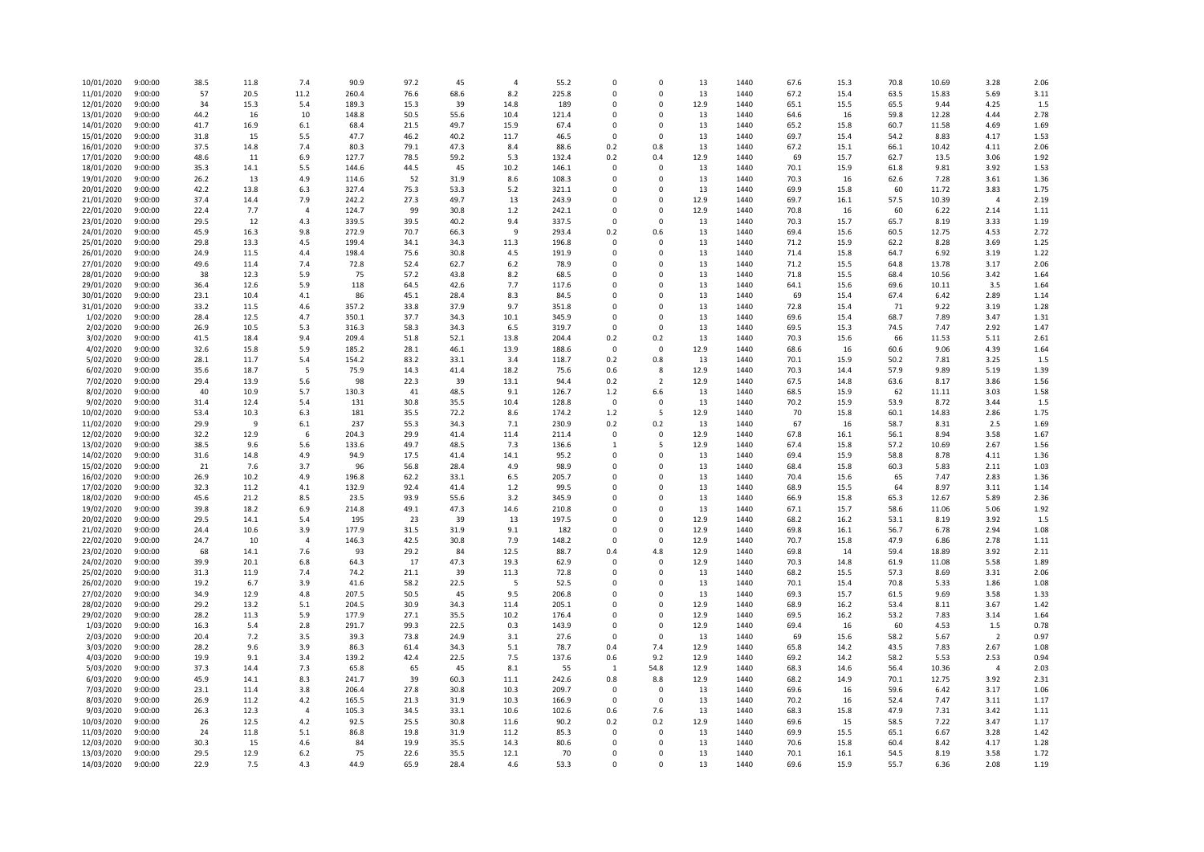| 10/01/2020               | 9:00:00            | 38.5         | 11.8         | 7.4            | 90.9           | 97.2         | 45           | 4           | 55.2           | $\Omega$                | 0                       | 13       | 1440         | 67.6         | 15.3         | 70.8         | 10.69          | 3.28           | 2.06         |
|--------------------------|--------------------|--------------|--------------|----------------|----------------|--------------|--------------|-------------|----------------|-------------------------|-------------------------|----------|--------------|--------------|--------------|--------------|----------------|----------------|--------------|
| 11/01/2020               | 9:00:00            | 57           | 20.5         | 11.2           | 260.4          | 76.6         | 68.6         | 8.2         | 225.8          | $\Omega$                | $\mathsf 0$             | 13       | 1440         | 67.2         | 15.4         | 63.5         | 15.83          | 5.69           | 3.11         |
| 12/01/2020               | 9:00:00            | 34           | 15.3         | 5.4            | 189.3          | 15.3         | 39           | 14.8        | 189            | $\Omega$                | 0                       | 12.9     | 1440         | 65.1         | 15.5         | 65.5         | 9.44           | 4.25           | 1.5          |
| 13/01/2020               | 9:00:00            | 44.2         | 16           | 10             | 148.8          | 50.5         | 55.6         | 10.4        | 121.4          | $\Omega$                | $\Omega$                | 13       | 1440         | 64.6         | 16           | 59.8         | 12.28          | 4.44           | 2.78         |
| 14/01/2020               | 9:00:00            | 41.7         | 16.9         | 6.1            | 68.4           | 21.5         | 49.7         | 15.9        | 67.4           | $\Omega$                | $\mathbf 0$             | 13       | 1440         | 65.2         | 15.8         | 60.7         | 11.58          | 4.69           | 1.69         |
| 15/01/2020               | 9:00:00            | 31.8         | 15           | 5.5            | 47.7           | 46.2         | 40.2         | 11.7        | 46.5           | $\Omega$                | $\Omega$                | 13       | 1440         | 69.7         | 15.4         | 54.2         | 8.83           | 4.17           | 1.53         |
| 16/01/2020               | 9:00:00            | 37.5         | 14.8         | 7.4            | 80.3           | 79.1         | 47.3         | 8.4         | 88.6           | 0.2                     | 0.8                     | 13       | 1440         | 67.2         | 15.1         | 66.1         | 10.42          | 4.11           | 2.06         |
| 17/01/2020               | 9:00:00            | 48.6         | 11           | 6.9            | 127.7          | 78.5         | 59.2         | 5.3         | 132.4          | 0.2                     | 0.4                     | 12.9     | 1440         | 69           | 15.7         | 62.7         | 13.5           | 3.06           | 1.92         |
| 18/01/2020               | 9:00:00            | 35.3         | 14.1         | 5.5            | 144.6          | 44.5         | 45           | 10.2        | 146.1          | 0                       | 0                       | 13       | 1440         | 70.1         | 15.9         | 61.8         | 9.81           | 3.92           | 1.53         |
| 19/01/2020               | 9:00:00            | 26.2         | 13           | 4.9            | 114.6          | 52           | 31.9         | 8.6         | 108.3          | $\Omega$                | $\mathbf 0$             | 13       | 1440         | 70.3         | 16           | 62.6         | 7.28           | 3.61           | 1.36         |
| 20/01/2020               | 9:00:00            | 42.2         | 13.8         | 6.3            | 327.4          | 75.3         | 53.3         | 5.2         | 321.1          | $\Omega$                | $\Omega$                | 13       | 1440         | 69.9         | 15.8         | 60           | 11.72          | 3.83           | 1.75         |
| 21/01/2020               | 9:00:00            | 37.4         | 14.4         | 7.9            | 242.2          | 27.3         | 49.7         | 13          | 243.9          | $\Omega$                | $\Omega$                | 12.9     | 1440         | 69.7         | 16.1         | 57.5         | 10.39          | $\overline{4}$ | 2.19         |
| 22/01/2020               | 9:00:00            | 22.4         | 7.7          | $\overline{4}$ | 124.7          | 99           | 30.8         | 1.2         | 242.1          | $\mathbf 0$<br>$\Omega$ | 0<br>$\Omega$           | 12.9     | 1440         | 70.8         | 16           | 60           | 6.22           | 2.14           | 1.11         |
| 23/01/2020               | 9:00:00            | 29.5         | 12           | 4.3            | 339.5          | 39.5         | 40.2         | 9.4<br>9    | 337.5          |                         |                         | 13       | 1440         | 70.3         | 15.7         | 65.7         | 8.19           | 3.33<br>4.53   | 1.19<br>2.72 |
| 24/01/2020<br>25/01/2020 | 9:00:00            | 45.9         | 16.3         | 9.8            | 272.9<br>199.4 | 70.7         | 66.3         |             | 293.4<br>196.8 | 0.2<br>$\Omega$         | 0.6                     | 13       | 1440         | 69.4         | 15.6         | 60.5<br>62.2 | 12.75<br>8.28  | 3.69           | 1.25         |
| 26/01/2020               | 9:00:00<br>9:00:00 | 29.8<br>24.9 | 13.3<br>11.5 | 4.5<br>4.4     | 198.4          | 34.1<br>75.6 | 34.3<br>30.8 | 11.3<br>4.5 | 191.9          | $\Omega$                | 0<br>$\mathbf 0$        | 13<br>13 | 1440<br>1440 | 71.2<br>71.4 | 15.9<br>15.8 | 64.7         | 6.92           | 3.19           | 1.22         |
| 27/01/2020               | 9:00:00            | 49.6         | 11.4         | 7.4            | 72.8           | 52.4         | 62.7         | 6.2         | 78.9           | $\Omega$                | $\Omega$                | 13       | 1440         | 71.2         | 15.5         | 64.8         | 13.78          | 3.17           | 2.06         |
| 28/01/2020               | 9:00:00            | 38           | 12.3         | 5.9            | 75             | 57.2         | 43.8         | 8.2         | 68.5           | $\Omega$                | $\Omega$                | 13       | 1440         | 71.8         | 15.5         | 68.4         | 10.56          | 3.42           | 1.64         |
| 29/01/2020               | 9:00:00            | 36.4         | 12.6         | 5.9            | 118            | 64.5         | 42.6         | 7.7         | 117.6          | $\Omega$                | $\Omega$                | 13       | 1440         | 64.1         | 15.6         | 69.6         | 10.11          | 3.5            | 1.64         |
| 30/01/2020               | 9:00:00            | 23.1         | 10.4         | 4.1            | 86             | 45.1         | 28.4         | 8.3         | 84.5           | $\Omega$                | $\Omega$                | 13       | 1440         | 69           | 15.4         | 67.4         | 6.42           | 2.89           | 1.14         |
| 31/01/2020               | 9:00:00            | 33.2         | 11.5         | 4.6            | 357.2          | 33.8         | 37.9         | 9.7         | 351.8          | $\Omega$                | $\Omega$                | 13       | 1440         | 72.8         | 15.4         | 71           | 9.22           | 3.19           | 1.28         |
| 1/02/2020                | 9:00:00            | 28.4         | 12.5         | 4.7            | 350.1          | 37.7         | 34.3         | 10.1        | 345.9          | $\mathbf 0$             | 0                       | 13       | 1440         | 69.6         | 15.4         | 68.7         | 7.89           | 3.47           | 1.31         |
| 2/02/2020                | 9:00:00            | 26.9         | 10.5         | 5.3            | 316.3          | 58.3         | 34.3         | 6.5         | 319.7          | $\Omega$                | $\mathbf 0$             | 13       | 1440         | 69.5         | 15.3         | 74.5         | 7.47           | 2.92           | 1.47         |
| 3/02/2020                | 9:00:00            | 41.5         | 18.4         | 9.4            | 209.4          | 51.8         | 52.1         | 13.8        | 204.4          | 0.2                     | 0.2                     | 13       | 1440         | 70.3         | 15.6         | 66           | 11.53          | 5.11           | 2.61         |
| 4/02/2020                | 9:00:00            | 32.6         | 15.8         | 5.9            | 185.2          | 28.1         | 46.1         | 13.9        | 188.6          | $\Omega$                | $\mathsf 0$             | 12.9     | 1440         | 68.6         | 16           | 60.6         | 9.06           | 4.39           | 1.64         |
| 5/02/2020                | 9:00:00            | 28.1         | 11.7         | 5.4            | 154.2          | 83.2         | 33.1         | 3.4         | 118.7          | 0.2                     | 0.8                     | 13       | 1440         | 70.1         | 15.9         | 50.2         | 7.81           | 3.25           | 1.5          |
| 6/02/2020                | 9:00:00            | 35.6         | 18.7         | 5              | 75.9           | 14.3         | 41.4         | 18.2        | 75.6           | 0.6                     | 8                       | 12.9     | 1440         | 70.3         | 14.4         | 57.9         | 9.89           | 5.19           | 1.39         |
| 7/02/2020                | 9:00:00            | 29.4         | 13.9         | 5.6            | 98             | 22.3         | 39           | 13.1        | 94.4           | 0.2                     | $\overline{2}$          | 12.9     | 1440         | 67.5         | 14.8         | 63.6         | 8.17           | 3.86           | 1.56         |
| 8/02/2020                | 9:00:00            | 40           | 10.9         | 5.7            | 130.3          | 41           | 48.5         | 9.1         | 126.7          | 1.2                     | 6.6                     | 13       | 1440         | 68.5         | 15.9         | 62           | 11.11          | 3.03           | 1.58         |
| 9/02/2020                | 9:00:00            | 31.4         | 12.4         | 5.4            | 131            | 30.8         | 35.5         | 10.4        | 128.8          | $\Omega$                | $\mathbf 0$             | 13       | 1440         | 70.2         | 15.9         | 53.9         | 8.72           | 3.44           | 1.5          |
| 10/02/2020               | 9:00:00            | 53.4         | 10.3         | 6.3            | 181            | 35.5         | 72.2         | 8.6         | 174.2          | 1.2                     | 5                       | 12.9     | 1440         | 70           | 15.8         | 60.1         | 14.83          | 2.86           | 1.75         |
| 11/02/2020               | 9:00:00            | 29.9         | -9           | 6.1            | 237            | 55.3         | 34.3         | 7.1         | 230.9          | 0.2                     | 0.2                     | 13       | 1440         | 67           | 16           | 58.7         | 8.31           | 2.5            | 1.69         |
| 12/02/2020               | 9:00:00            | 32.2         | 12.9         | 6              | 204.3          | 29.9         | 41.4         | 11.4        | 211.4          | $\Omega$                | $\mathbf 0$             | 12.9     | 1440         | 67.8         | 16.1         | 56.1         | 8.94           | 3.58           | 1.67         |
| 13/02/2020               | 9:00:00            | 38.5         | 9.6          | 5.6            | 133.6          | 49.7         | 48.5         | 7.3         | 136.6          | 1                       | 5                       | 12.9     | 1440         | 67.4         | 15.8         | 57.2         | 10.69          | 2.67           | 1.56         |
| 14/02/2020               | 9:00:00            | 31.6         | 14.8         | 4.9            | 94.9           | 17.5         | 41.4         | 14.1        | 95.2           | $\Omega$                | $\mathsf 0$             | 13       | 1440         | 69.4         | 15.9         | 58.8         | 8.78           | 4.11           | 1.36         |
| 15/02/2020               | 9:00:00            | 21           | 7.6          | 3.7            | 96             | 56.8         | 28.4         | 4.9         | 98.9           | $\Omega$                | $\mathbf 0$             | 13       | 1440         | 68.4         | 15.8         | 60.3         | 5.83           | 2.11           | 1.03         |
| 16/02/2020               | 9:00:00            | 26.9         | 10.2         | 4.9            | 196.8          | 62.2         | 33.1         | 6.5         | 205.7          | $\Omega$                | $\Omega$                | 13       | 1440         | 70.4         | 15.6         | 65           | 7.47           | 2.83           | 1.36         |
| 17/02/2020               | 9:00:00            | 32.3         | 11.2         | 4.1            | 132.9          | 92.4         | 41.4         | 1.2         | 99.5           | $\Omega$                | 0                       | 13       | 1440         | 68.9         | 15.5         | 64           | 8.97           | 3.11           | 1.14         |
| 18/02/2020               | 9:00:00<br>9:00:00 | 45.6<br>39.8 | 21.2<br>18.2 | 8.5<br>6.9     | 23.5<br>214.8  | 93.9<br>49.1 | 55.6<br>47.3 | 3.2<br>14.6 | 345.9<br>210.8 | $\Omega$<br>$\Omega$    | $\mathbf 0$<br>$\Omega$ | 13<br>13 | 1440<br>1440 | 66.9<br>67.1 | 15.8<br>15.7 | 65.3<br>58.6 | 12.67<br>11.06 | 5.89<br>5.06   | 2.36<br>1.92 |
| 19/02/2020<br>20/02/2020 | 9:00:00            | 29.5         | 14.1         | 5.4            | 195            | 23           | 39           | 13          | 197.5          | $\Omega$                | $\Omega$                | 12.9     | 1440         | 68.2         | 16.2         | 53.1         | 8.19           | 3.92           | 1.5          |
| 21/02/2020               | 9:00:00            | 24.4         | 10.6         | 3.9            | 177.9          | 31.5         |              | 9.1         | 182            | $\Omega$                | 0                       | 12.9     | 1440         | 69.8         | 16.1         | 56.7         | 6.78           | 2.94           | 1.08         |
| 22/02/2020               | 9:00:00            | 24.7         | 10           | $\overline{a}$ | 146.3          | 42.5         | 31.9<br>30.8 | 7.9         | 148.2          | $\Omega$                | $\Omega$                | 12.9     | 1440         | 70.7         | 15.8         | 47.9         | 6.86           | 2.78           | 1.11         |
| 23/02/2020               | 9:00:00            | 68           | 14.1         | 7.6            | 93             | 29.2         | 84           | 12.5        | 88.7           | 0.4                     | 4.8                     | 12.9     | 1440         | 69.8         | 14           | 59.4         | 18.89          | 3.92           | 2.11         |
| 24/02/2020               | 9:00:00            | 39.9         | 20.1         | 6.8            | 64.3           | 17           | 47.3         | 19.3        | 62.9           | $\Omega$                | $\Omega$                | 12.9     | 1440         | 70.3         | 14.8         | 61.9         | 11.08          | 5.58           | 1.89         |
| 25/02/2020               | 9:00:00            | 31.3         | 11.9         | 7.4            | 74.2           | 21.1         | 39           | 11.3        | 72.8           | 0                       | $\mathbf 0$             | 13       | 1440         | 68.2         | 15.5         | 57.3         | 8.69           | 3.31           | 2.06         |
| 26/02/2020               | 9:00:00            | 19.2         | 6.7          | 3.9            | 41.6           | 58.2         | 22.5         | 5           | 52.5           | $\Omega$                | $\mathbf 0$             | 13       | 1440         | 70.1         | 15.4         | 70.8         | 5.33           | 1.86           | 1.08         |
| 27/02/2020               | 9:00:00            | 34.9         | 12.9         | 4.8            | 207.5          | 50.5         | 45           | 9.5         | 206.8          | $\Omega$                | $\mathbf 0$             | 13       | 1440         | 69.3         | 15.7         | 61.5         | 9.69           | 3.58           | 1.33         |
| 28/02/2020               | 9:00:00            | 29.2         | 13.2         | 5.1            | 204.5          | 30.9         | 34.3         | 11.4        | 205.1          | $\Omega$                | 0                       | 12.9     | 1440         | 68.9         | 16.2         | 53.4         | 8.11           | 3.67           | 1.42         |
| 29/02/2020               | 9:00:00            | 28.2         | 11.3         | 5.9            | 177.9          | 27.1         | 35.5         | 10.2        | 176.4          | $\Omega$                | $\mathbf 0$             | 12.9     | 1440         | 69.5         | 16.2         | 53.2         | 7.83           | 3.14           | 1.64         |
| 1/03/2020                | 9:00:00            | 16.3         | 5.4          | 2.8            | 291.7          | 99.3         | 22.5         | 0.3         | 143.9          | $\Omega$                | $\Omega$                | 12.9     | 1440         | 69.4         | 16           | 60           | 4.53           | 1.5            | 0.78         |
| 2/03/2020                | 9:00:00            | 20.4         | 7.2          | 3.5            | 39.3           | 73.8         | 24.9         | 3.1         | 27.6           | $\Omega$                | $\Omega$                | 13       | 1440         | 69           | 15.6         | 58.2         | 5.67           | $\overline{2}$ | 0.97         |
| 3/03/2020                | 9:00:00            | 28.2         | 9.6          | 3.9            | 86.3           | 61.4         | 34.3         | 5.1         | 78.7           | 0.4                     | 7.4                     | 12.9     | 1440         | 65.8         | 14.2         | 43.5         | 7.83           | 2.67           | 1.08         |
| 4/03/2020                | 9:00:00            | 19.9         | 9.1          | 3.4            | 139.2          | 42.4         | 22.5         | 7.5         | 137.6          | 0.6                     | 9.2                     | 12.9     | 1440         | 69.2         | 14.2         | 58.2         | 5.53           | 2.53           | 0.94         |
| 5/03/2020                | 9:00:00            | 37.3         | 14.4         | 7.3            | 65.8           | 65           | 45           | 8.1         | 55             | $\overline{1}$          | 54.8                    | 12.9     | 1440         | 68.3         | 14.6         | 56.4         | 10.36          | $\overline{4}$ | 2.03         |
| 6/03/2020                | 9:00:00            | 45.9         | 14.1         | 8.3            | 241.7          | 39           | 60.3         | 11.1        | 242.6          | 0.8                     | 8.8                     | 12.9     | 1440         | 68.2         | 14.9         | 70.1         | 12.75          | 3.92           | 2.31         |
| 7/03/2020                | 9:00:00            | 23.1         | 11.4         | 3.8            | 206.4          | 27.8         | 30.8         | 10.3        | 209.7          | $\Omega$                | $\mathbf 0$             | 13       | 1440         | 69.6         | 16           | 59.6         | 6.42           | 3.17           | 1.06         |
| 8/03/2020                | 9:00:00            | 26.9         | 11.2         | 4.2            | 165.5          | 21.3         | 31.9         | 10.3        | 166.9          | $\mathbf 0$             | 0                       | 13       | 1440         | 70.2         | 16           | 52.4         | 7.47           | 3.11           | 1.17         |
| 9/03/2020                | 9:00:00            | 26.3         | 12.3         | $\Delta$       | 105.3          | 34.5         | 33.1         | 10.6        | 102.6          | 0.6                     | 7.6                     | 13       | 1440         | 68.3         | 15.8         | 47.9         | 7.31           | 3.42           | 1.11         |
| 10/03/2020               | 9:00:00            | 26           | 12.5         | 4.2            | 92.5           | 25.5         | 30.8         | 11.6        | 90.2           | 0.2                     | 0.2                     | 12.9     | 1440         | 69.6         | 15           | 58.5         | 7.22           | 3.47           | 1.17         |
| 11/03/2020               | 9:00:00            | 24           | 11.8         | 5.1            | 86.8           | 19.8         | 31.9         | 11.2        | 85.3           | $\Omega$                | $\Omega$                | 13       | 1440         | 69.9         | 15.5         | 65.1         | 6.67           | 3.28           | 1.42         |
| 12/03/2020               | 9:00:00            | 30.3         | 15           | 4.6            | 84             | 19.9         | 35.5         | 14.3        | 80.6           | $\Omega$                | 0                       | 13       | 1440         | 70.6         | 15.8         | 60.4         | 8.42           | 4.17           | 1.28         |
| 13/03/2020               | 9:00:00            | 29.5         | 12.9         | 6.2            | 75             | 22.6         | 35.5         | 12.1        | 70             | $\Omega$                | $\mathbf 0$             | 13       | 1440         | 70.1         | 16.1         | 54.5         | 8.19           | 3.58           | 1.72         |
| 14/03/2020               | 9:00:00            | 22.9         | 7.5          | 4.3            | 44.9           | 65.9         | 28.4         | 4.6         | 53.3           | $\mathbf 0$             | $\Omega$                | 13       | 1440         | 69.6         | 15.9         | 55.7         | 6.36           | 2.08           | 1.19         |